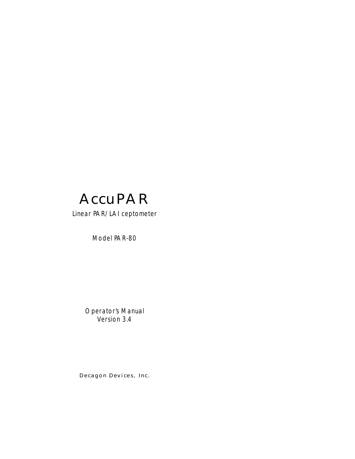

#### Linear PAR/LAI ceptometer

Model PAR-80

Operator's Manual Version 3.4

*Decagon Devices, Inc.*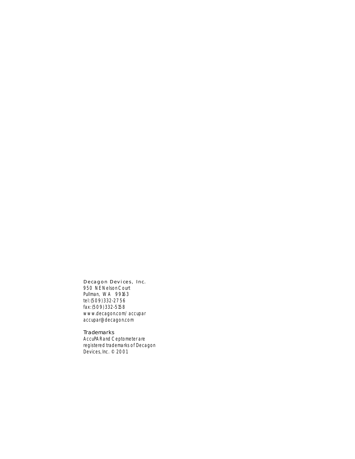#### *Decagon Devices, Inc.*

*950 NE Nelson Court Pullman, WA 99163 tel: (509) 332-2756 fax: (509) 332-5158 www.decagon.com/accupar accupar@decagon.com*

*Trademarks AccuPAR and Ceptometer are registered trademarks of Decagon Devices, Inc. © 2001*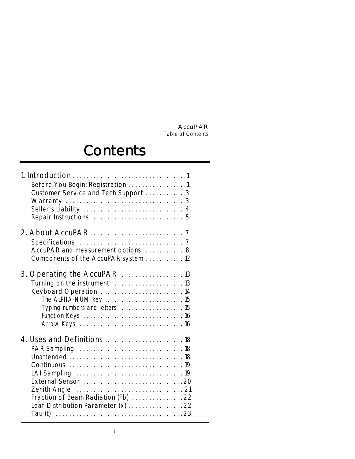# **Contents**

| Before You Begin: Registration 1<br>Customer Service and Tech Support 3                                                                          |  |
|--------------------------------------------------------------------------------------------------------------------------------------------------|--|
| AccuPAR and measurement options 8<br>Components of the AccuPAR system 12                                                                         |  |
| 3. Operating the AccuPAR 13<br>Turning on the instrument  13<br>Keyboard Operation  14<br>The ALPHA-NUM key 15<br>Typing numbers and letters  15 |  |
| Fraction of Beam Radiation (Fb) 22<br>Leaf Distribution Parameter (x) 22                                                                         |  |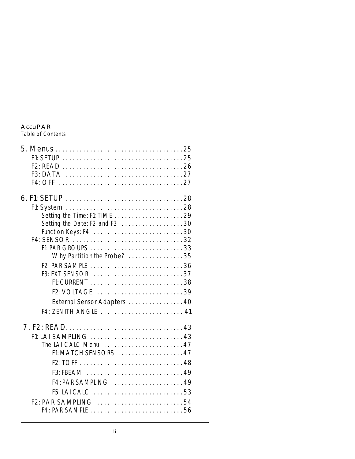#### **AccuPAR**

*Table of Contents*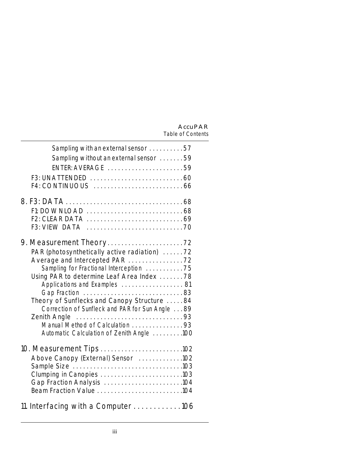| Sampling with an external sensor 57<br>Sampling without an external sensor 59<br>ENTER: AVERAGE 59                                                                                                                                                                                                                                                                      |  |
|-------------------------------------------------------------------------------------------------------------------------------------------------------------------------------------------------------------------------------------------------------------------------------------------------------------------------------------------------------------------------|--|
|                                                                                                                                                                                                                                                                                                                                                                         |  |
| PAR (photosynthetically active radiation) 72<br>Sampling for Fractional Interception 75<br>Using PAR to determine Leaf Area Index 78<br>Applications and Examples  81<br>Theory of Sunflecks and Canopy Structure 84<br>Correction of Sunfleck and PAR for Sun Angle 89<br>Zenith Angle<br>Manual Method of Calculation 93<br>Automatic Calculation of Zenith Angle 100 |  |
| Above Canopy (External) Sensor 102<br>Clumping in Canopies 103<br>Gap Fraction Analysis 104                                                                                                                                                                                                                                                                             |  |
| 11. Interfacing with a Computer106                                                                                                                                                                                                                                                                                                                                      |  |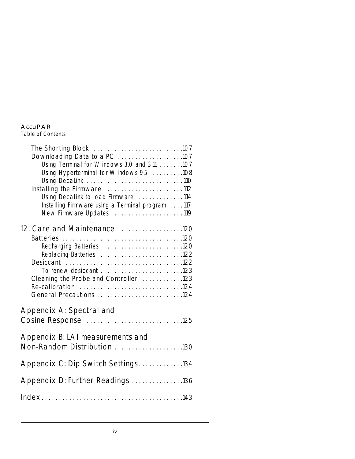#### **AccuPAR** *Table of Contents*

| Downloading Data to a PC 107<br>Using Terminal for Windows 3.0 and 3.11 107<br>Using Hyperterminal for Windows 95 108<br>Using Decalink 110<br>Installing the Firmware 112<br>Using Decalink to load Firmware 114<br>Installing Firmware using a Terminal program 117 |  |
|-----------------------------------------------------------------------------------------------------------------------------------------------------------------------------------------------------------------------------------------------------------------------|--|
| 12. Care and Maintenance 120<br>Recharging Batteries 120<br>Replacing Batteries 122<br>To renew desiccant 123<br>Cleaning the Probe and Controller 123<br>General Precautions 124                                                                                     |  |
| Appendix A: Spectral and<br>Cosine Response 125                                                                                                                                                                                                                       |  |
| Appendix B: LAI measurements and<br>Non-Random Distribution 130                                                                                                                                                                                                       |  |
| Appendix C: Dip Switch Settings134                                                                                                                                                                                                                                    |  |
| Appendix D: Further Readings 136                                                                                                                                                                                                                                      |  |
|                                                                                                                                                                                                                                                                       |  |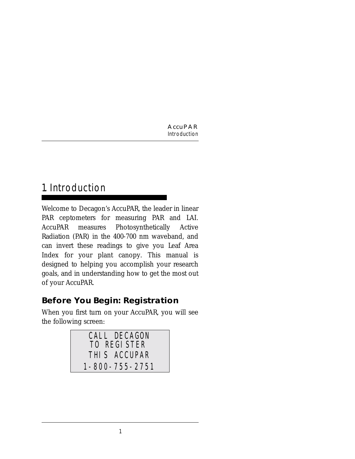## 1. Introduction

Welcome to Decagon's AccuPAR, the leader in linear PAR ceptometers for measuring PAR and LAI. AccuPAR measures Photosynthetically Active Radiation (PAR) in the 400-700 nm waveband, and can invert these readings to give you Leaf Area Index for your plant canopy. This manual is designed to helping you accomplish your research goals, and in understanding how to get the most out of your AccuPAR.

## **Before You Begin: Registration**

When you first turn on your AccuPAR, you will see the following screen:

| CALL DECAGON   |
|----------------|
| TO REGISTER    |
| THIS ACCUPAR   |
| 1-800-755-2751 |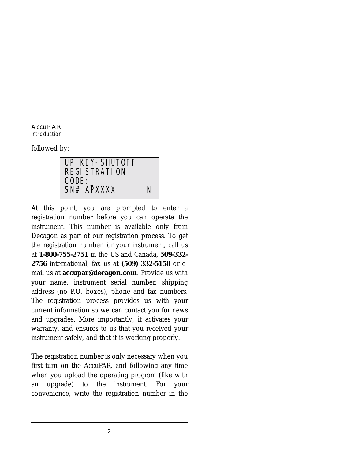**AccuPAR** *Introduction*

followed by:

UP KEY-SHUTOFF REGISTRATION  $\mathsf{CODE} \colon \_$ SN#: APXXXX N

At this point, you are prompted to enter a registration number before you can operate the instrument. This number is available only from Decagon as part of our registration process. To get the registration number for your instrument, call us at **1-800-755-2751** in the US and Canada, **509-332- 2756** international, fax us at **(509) 332-5158** or email us at **accupar@decagon.com**. Provide us with your name, instrument serial number, shipping address (no P.O. boxes), phone and fax numbers. The registration process provides us with your current information so we can contact you for news and upgrades. More importantly, it activates your warranty, and ensures to us that you received your instrument safely, and that it is working properly.

The registration number is only necessary when you first turn on the AccuPAR, and following any time when you upload the operating program (like with an upgrade) to the instrument. For your convenience, write the registration number in the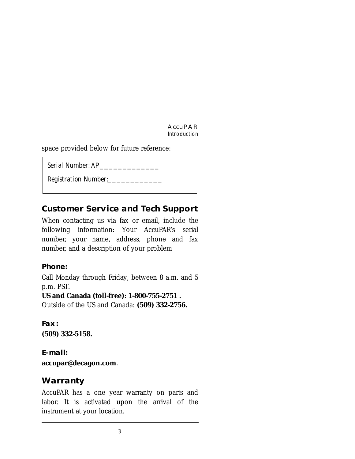space provided below for future reference:

Serial Number: AP

Registration Number:\_\_\_\_\_\_\_\_\_\_\_\_

## **Customer Service and Tech Support**

When contacting us via fax or email, include the following information: Your AccuPAR's serial number, your name, address, phone and fax number, and a description of your problem

#### **Phone:**

Call Monday through Friday, between 8 a.m. and 5 p.m. PST.

#### **US and Canada (toll-free): 1-800-755-2751 .**

Outside of the US and Canada: **(509) 332-2756.**

#### **Fax: (509) 332-5158.**

#### **E-mail:**

**accupar@decagon.com**.

### **Warranty**

AccuPAR has a one year warranty on parts and labor. It is activated upon the arrival of the instrument at your location.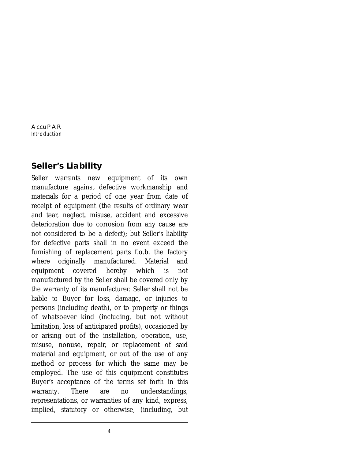## **Seller's Liability**

Seller warrants new equipment of its own manufacture against defective workmanship and materials for a period of one year from date of receipt of equipment (the results of ordinary wear and tear, neglect, misuse, accident and excessive deterioration due to corrosion from any cause are not considered to be a defect); but Seller's liability for defective parts shall in no event exceed the furnishing of replacement parts f.o.b. the factory where originally manufactured. Material and equipment covered hereby which is not manufactured by the Seller shall be covered only by the warranty of its manufacturer. Seller shall not be liable to Buyer for loss, damage, or injuries to persons (including death), or to property or things of whatsoever kind (including, but not without limitation, loss of anticipated profits), occasioned by or arising out of the installation, operation, use, misuse, nonuse, repair, or replacement of said material and equipment, or out of the use of any method or process for which the same may be employed. The use of this equipment constitutes Buyer's acceptance of the terms set forth in this warranty. There are no understandings, representations, or warranties of any kind, express, implied, statutory or otherwise, (including, but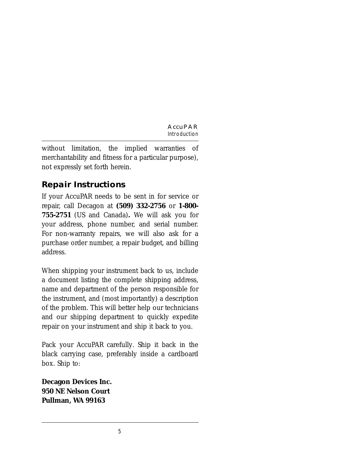without limitation, the implied warranties of merchantability and fitness for a particular purpose), not expressly set forth herein.

## **Repair Instructions**

If your AccuPAR needs to be sent in for service or repair, call Decagon at **(509) 332-2756** or **1-800- 755-2751** (US and Canada)**.** We will ask you for your address, phone number, and serial number. For non-warranty repairs, we will also ask for a purchase order number, a repair budget, and billing address.

When shipping your instrument back to us, include a document listing the complete shipping address, name and department of the person responsible for the instrument, and (most importantly) a description of the problem. This will better help our technicians and our shipping department to quickly expedite repair on your instrument and ship it back to you.

Pack your AccuPAR carefully. Ship it back in the black carrying case, preferably inside a cardboard box. Ship to:

**Decagon Devices Inc. 950 NE Nelson Court Pullman, WA 99163**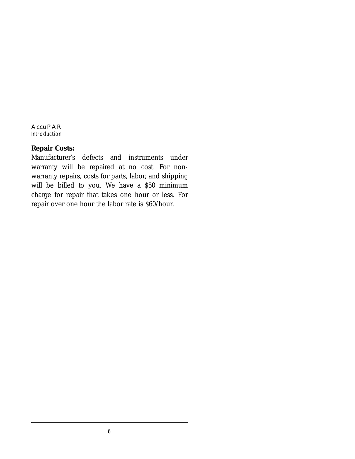#### **Repair Costs:**

Manufacturer's defects and instruments under warranty will be repaired at no cost. For nonwarranty repairs, costs for parts, labor, and shipping will be billed to you. We have a \$50 minimum charge for repair that takes one hour or less. For repair over one hour the labor rate is \$60/hour.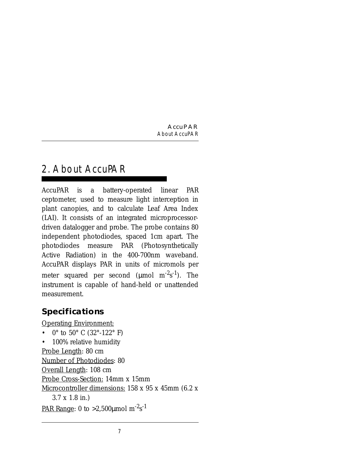## 2. About AccuPAR

AccuPAR is a battery-operated linear PAR ceptometer, used to measure light interception in plant canopies, and to calculate Leaf Area Index (LAI). It consists of an integrated microprocessordriven datalogger and probe. The probe contains 80 independent photodiodes, spaced 1cm apart. The photodiodes measure PAR (Photosynthetically Active Radiation) in the 400-700nm waveband. AccuPAR displays PAR in units of micromols per meter squared per second (µmol m<sup>-2</sup>s<sup>-1</sup>). The instrument is capable of hand-held or unattended measurement.

## **Specifications**

Operating Environment:

- $0^{\circ}$  to 50° C (32°-122° F)
- 100% relative humidity

Probe Length: 80 cm

Number of Photodiodes: 80

Overall Length: 108 cm

Probe Cross-Section: 14mm x 15mm

Microcontroller dimensions: 158 x 95 x 45mm (6.2 x

3.7 x 1.8 in.)

<u>PAR Range</u>: 0 to >2,500µmol m<sup>-2</sup>s<sup>-1</sup>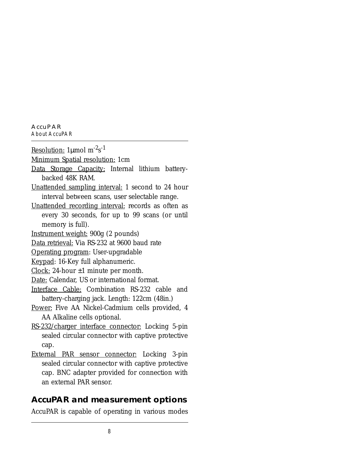**AccuPAR** *About AccuPAR*

Resolution: 1µmol m<sup>-2</sup>s<sup>-1</sup>

Minimum Spatial resolution: 1cm

- Data Storage Capacity: Internal lithium batterybacked 48K RAM.
- Unattended sampling interval: 1 second to 24 hour interval between scans, user selectable range.
- Unattended recording interval: records as often as every 30 seconds, for up to 99 scans (or until memory is full).
- Instrument weight: 900g (2 pounds)

Data retrieval: Via RS-232 at 9600 baud rate

Operating program: User-upgradable

Keypad: 16-Key full alphanumeric.

Clock: 24-hour  $\pm 1$  minute per month.

- Date: Calendar, US or international format.
- Interface Cable: Combination RS-232 cable and battery-charging jack. Length: 122cm (48in.)
- Power: Five AA Nickel-Cadmium cells provided, 4 AA Alkaline cells optional.
- RS-232/charger interface connector: Locking 5-pin sealed circular connector with captive protective cap.
- External PAR sensor connector: Locking 3-pin sealed circular connector with captive protective cap. BNC adapter provided for connection with an external PAR sensor.

### **AccuPAR and measurement options**

AccuPAR is capable of operating in various modes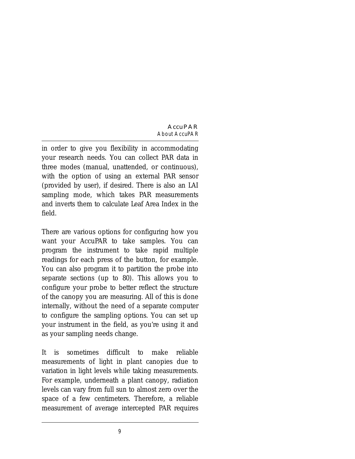in order to give you flexibility in accommodating your research needs. You can collect PAR data in three modes (manual, unattended, or continuous), with the option of using an external PAR sensor (provided by user), if desired. There is also an LAI sampling mode, which takes PAR measurements and inverts them to calculate Leaf Area Index in the field.

There are various options for configuring how you want your AccuPAR to take samples. You can program the instrument to take rapid multiple readings for each press of the button, for example. You can also program it to partition the probe into separate sections (up to 80). This allows you to configure your probe to better reflect the structure of the canopy you are measuring. All of this is done internally, without the need of a separate computer to configure the sampling options. You can set up your instrument in the field, as you're using it and as your sampling needs change.

It is sometimes difficult to make reliable measurements of light in plant canopies due to variation in light levels while taking measurements. For example, underneath a plant canopy, radiation levels can vary from full sun to almost zero over the space of a few centimeters. Therefore, a reliable measurement of average intercepted PAR requires

9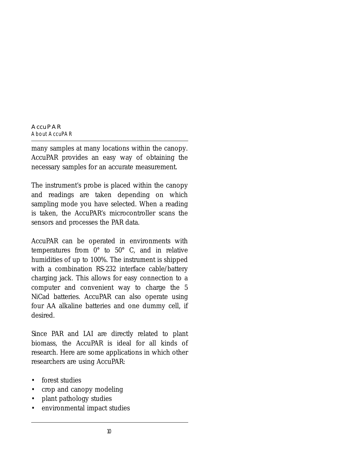many samples at many locations within the canopy. AccuPAR provides an easy way of obtaining the necessary samples for an accurate measurement.

The instrument's probe is placed within the canopy and readings are taken depending on which sampling mode you have selected. When a reading is taken, the AccuPAR's microcontroller scans the sensors and processes the PAR data.

AccuPAR can be operated in environments with temperatures from 0° to 50° C, and in relative humidities of up to 100%. The instrument is shipped with a combination RS-232 interface cable/battery charging jack. This allows for easy connection to a computer and convenient way to charge the 5 NiCad batteries. AccuPAR can also operate using four AA alkaline batteries and one dummy cell, if desired.

Since PAR and LAI are directly related to plant biomass, the AccuPAR is ideal for all kinds of research. Here are some applications in which other researchers are using AccuPAR:

- forest studies
- crop and canopy modeling
- plant pathology studies
- environmental impact studies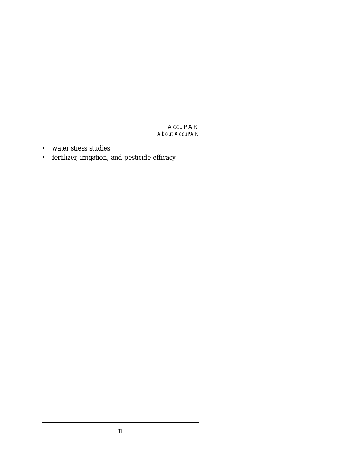- water stress studies
- fertilizer, irrigation, and pesticide efficacy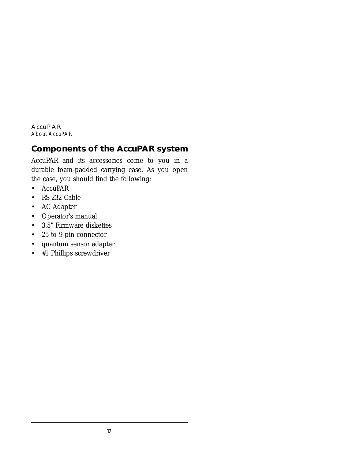### **Components of the AccuPAR system**

AccuPAR and its accessories come to you in a durable foam-padded carrying case. As you open the case, you should find the following:

- AccuPAR
- RS-232 Cable
- AC Adapter
- Operator's manual
- 3.5" Firmware diskettes
- 25 to 9-pin connector
- quantum sensor adapter
- #1 Phillips screwdriver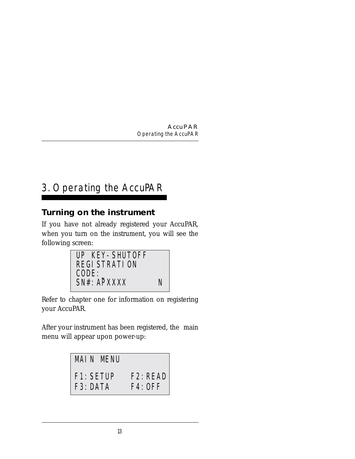## 3. Operating the AccuPAR

## **Turning on the instrument**

If you have not already registered your AccuPAR, when you turn on the instrument, you will see the following screen:



Refer to chapter one for information on registering your AccuPAR.

After your instrument has been registered, the main menu will appear upon power-up:

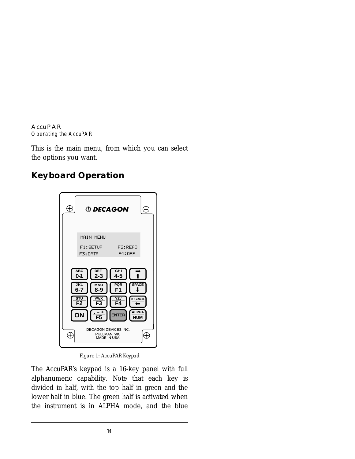This is the main menu, from which you can select the options you want.

## **Keyboard Operation**



*Figure 1: AccuPAR Keypad*

The AccuPAR's keypad is a 16-key panel with full alphanumeric capability. Note that each key is divided in half, with the top half in green and the lower half in blue. The green half is activated when the instrument is in ALPHA mode, and the blue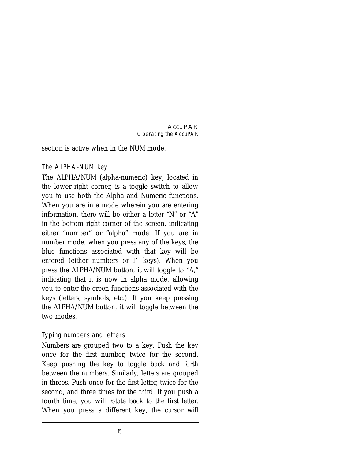section is active when in the NUM mode.

#### The ALPHA-NUM key

The ALPHA/NUM (alpha-numeric) key, located in the lower right corner, is a toggle switch to allow you to use both the Alpha and Numeric functions. When you are in a mode wherein you are entering information, there will be either a letter "N" or "A" in the bottom right corner of the screen, indicating either "number" or "alpha" mode. If you are in number mode, when you press any of the keys, the blue functions associated with that key will be entered (either numbers or F- keys). When you press the ALPHA/NUM button, it will toggle to "A," indicating that it is now in alpha mode, allowing you to enter the green functions associated with the keys (letters, symbols, etc.). If you keep pressing the ALPHA/NUM button, it will toggle between the two modes.

#### Typing numbers and letters

Numbers are grouped two to a key. Push the key once for the first number, twice for the second. Keep pushing the key to toggle back and forth between the numbers. Similarly, letters are grouped in threes. Push once for the first letter, twice for the second, and three times for the third. If you push a fourth time, you will rotate back to the first letter. When you press a different key, the cursor will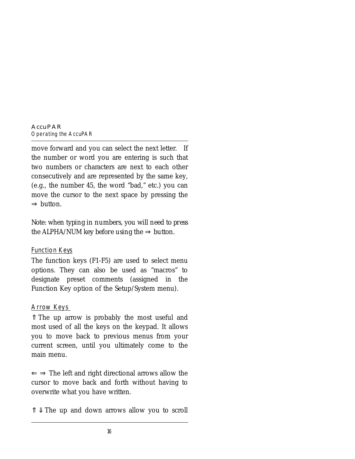move forward and you can select the next letter. If the number or word you are entering is such that two numbers or characters are next to each other consecutively and are represented by the same key, (e.g., the number 45, the word "bad," etc.) you can move the cursor to the next space by pressing the ⇒ button.

*Note: when typing in numbers, you will need to press the* ALPHA/NUM *key before using the* ⇒ *button*.

#### Function Keys

The function keys (F1-F5) are used to select menu options. They can also be used as "macros" to designate preset comments (assigned in the Function Key option of the Setup/System menu).

#### Arrow Keys

⇑ The up arrow is probably the most useful and most used of all the keys on the keypad. It allows you to move back to previous menus from your current screen, until you ultimately come to the main menu.

 $\Leftarrow$   $\Rightarrow$  The left and right directional arrows allow the cursor to move back and forth without having to overwrite what you have written.

 $\hat{\mathbb{I}}$  we The up and down arrows allow you to scroll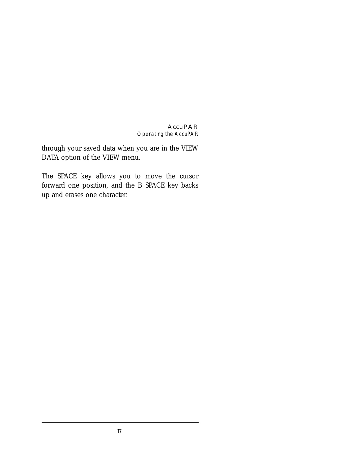through your saved data when you are in the VIEW DATA option of the VIEW menu.

The SPACE key allows you to move the cursor forward one position, and the B SPACE key backs up and erases one character.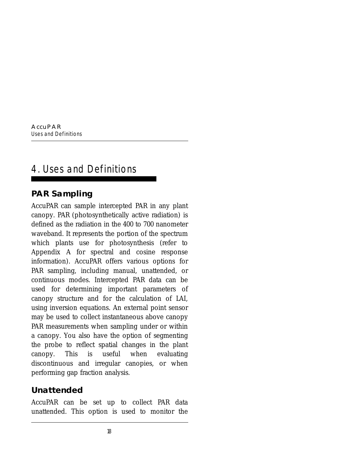## 4. Uses and Definitions

## **PAR Sampling**

AccuPAR can sample intercepted PAR in any plant canopy. PAR (photosynthetically active radiation) is defined as the radiation in the 400 to 700 nanometer waveband. It represents the portion of the spectrum which plants use for photosynthesis (refer to Appendix A for spectral and cosine response information). AccuPAR offers various options for PAR sampling, including manual, unattended, or continuous modes. Intercepted PAR data can be used for determining important parameters of canopy structure and for the calculation of LAI, using inversion equations. An external point sensor may be used to collect instantaneous above canopy PAR measurements when sampling under or within a canopy. You also have the option of segmenting the probe to reflect spatial changes in the plant canopy. This is useful when evaluating discontinuous and irregular canopies, or when performing gap fraction analysis.

## **Unattended**

AccuPAR can be set up to collect PAR data unattended. This option is used to monitor the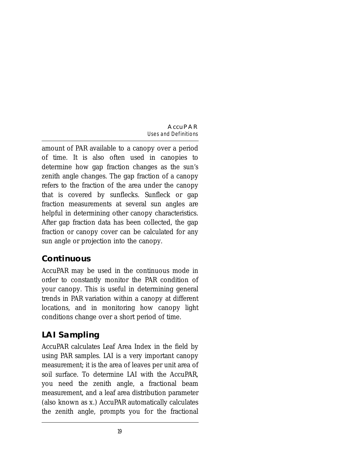amount of PAR available to a canopy over a period of time. It is also often used in canopies to determine how gap fraction changes as the sun's zenith angle changes. The gap fraction of a canopy refers to the fraction of the area under the canopy that is covered by sunflecks. Sunfleck or gap fraction measurements at several sun angles are helpful in determining other canopy characteristics. After gap fraction data has been collected, the gap fraction or canopy cover can be calculated for any sun angle or projection into the canopy.

## **Continuous**

AccuPAR may be used in the continuous mode in order to constantly monitor the PAR condition of your canopy. This is useful in determining general trends in PAR variation within a canopy at different locations, and in monitoring how canopy light conditions change over a short period of time.

## **LAI Sampling**

AccuPAR calculates Leaf Area Index in the field by using PAR samples. LAI is a very important canopy measurement; it is the area of leaves per unit area of soil surface. To determine LAI with the AccuPAR, you need the zenith angle, a fractional beam measurement, and a leaf area distribution parameter (also known as *x*.) AccuPAR automatically calculates the zenith angle, prompts you for the fractional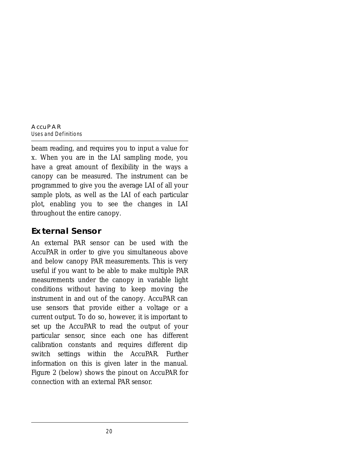beam reading, and requires you to input a value for *x*. When you are in the LAI sampling mode, you have a great amount of flexibility in the ways a canopy can be measured. The instrument can be programmed to give you the average LAI of all your sample plots, as well as the LAI of each particular plot, enabling you to see the changes in LAI throughout the entire canopy.

### **External Sensor**

An external PAR sensor can be used with the AccuPAR in order to give you simultaneous above and below canopy PAR measurements. This is very useful if you want to be able to make multiple PAR measurements under the canopy in variable light conditions without having to keep moving the instrument in and out of the canopy. AccuPAR can use sensors that provide either a voltage or a current output. To do so, however, it is important to set up the AccuPAR to read the output of your particular sensor, since each one has different calibration constants and requires different dip switch settings within the AccuPAR. Further information on this is given later in the manual. Figure 2 (below) shows the pinout on AccuPAR for connection with an external PAR sensor.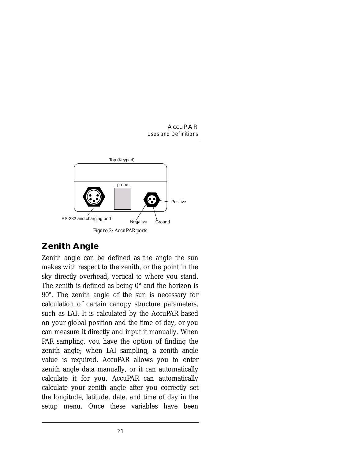

## **Zenith Angle**

Zenith angle can be defined as the angle the sun makes with respect to the zenith, or the point in the sky directly overhead, vertical to where you stand. The zenith is defined as being 0° and the horizon is 90°. The zenith angle of the sun is necessary for calculation of certain canopy structure parameters, such as LAI. It is calculated by the AccuPAR based on your global position and the time of day, or you can measure it directly and input it manually. When PAR sampling, you have the option of finding the zenith angle; when LAI sampling, a zenith angle value is required. AccuPAR allows you to enter zenith angle data manually, or it can automatically calculate it for you. AccuPAR can automatically calculate your zenith angle after you correctly set the longitude, latitude, date, and time of day in the setup menu. Once these variables have been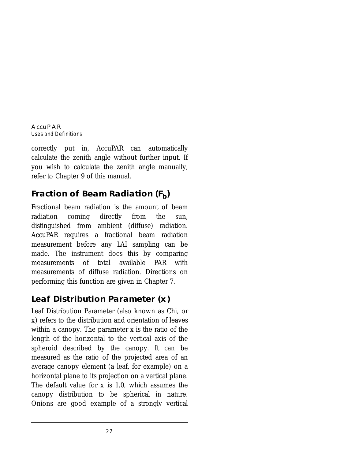correctly put in, AccuPAR can automatically calculate the zenith angle without further input. If you wish to calculate the zenith angle manually, refer to Chapter 9 of this manual.

## **Fraction of Beam Radiation (F<sub>b</sub>)**

Fractional beam radiation is the amount of beam radiation coming directly from the sun, distinguished from ambient (diffuse) radiation. AccuPAR requires a fractional beam radiation measurement before any LAI sampling can be made. The instrument does this by comparing measurements of total available PAR with measurements of diffuse radiation. Directions on performing this function are given in Chapter 7.

## **Leaf Distribution Parameter (***x***)**

Leaf Distribution Parameter (also known as Chi, or *x*) refers to the distribution and orientation of leaves within a canopy. The parameter *x* is the ratio of the length of the horizontal to the vertical axis of the spheroid described by the canopy. It can be measured as the ratio of the projected area of an average canopy element (a leaf, for example) on a horizontal plane to its projection on a vertical plane. The default value for *x* is 1.0, which assumes the canopy distribution to be spherical in nature. Onions are good example of a strongly vertical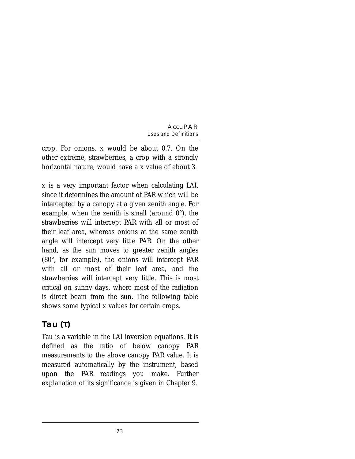crop. For onions, *x* would be about 0.7. On the other extreme, strawberries, a crop with a strongly horizontal nature, would have a *x* value of about 3.

*x* is a very important factor when calculating LAI, since it determines the amount of PAR which will be intercepted by a canopy at a given zenith angle. For example, when the zenith is small (around  $0^{\circ}$ ), the strawberries will intercept PAR with all or most of their leaf area, whereas onions at the same zenith angle will intercept very little PAR. On the other hand, as the sun moves to greater zenith angles (80°, for example), the onions will intercept PAR with all or most of their leaf area, and the strawberries will intercept very little. This is most critical on sunny days, where most of the radiation is direct beam from the sun. The following table shows some typical *x* values for certain crops.

## **Tau (**τ**)**

Tau is a variable in the LAI inversion equations. It is defined as the ratio of below canopy PAR measurements to the above canopy PAR value. It is measured automatically by the instrument, based upon the PAR readings you make. Further explanation of its significance is given in Chapter 9.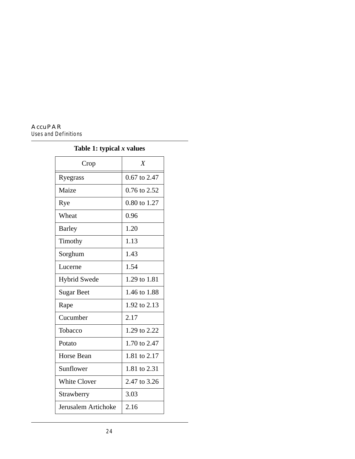| Crop                | $\boldsymbol{X}$ |
|---------------------|------------------|
| Ryegrass            | 0.67 to 2.47     |
| Maize               | $0.76$ to $2.52$ |
| Rye                 | 0.80 to 1.27     |
| Wheat               | 0.96             |
| <b>Barley</b>       | 1.20             |
| Timothy             | 1.13             |
| Sorghum             | 1.43             |
| Lucerne             | 1.54             |
| <b>Hybrid Swede</b> | 1.29 to 1.81     |
| <b>Sugar Beet</b>   | 1.46 to 1.88     |
| Rape                | 1.92 to 2.13     |
| Cucumber            | 2.17             |
| Tobacco             | 1.29 to 2.22     |
| Potato              | 1.70 to 2.47     |
| <b>Horse Bean</b>   | 1.81 to 2.17     |
| Sunflower           | 1.81 to 2.31     |
| <b>White Clover</b> | 2.47 to 3.26     |
| Strawberry          | 3.03             |
| Jerusalem Artichoke | 2.16             |

## **Table 1: typical** *x* **values**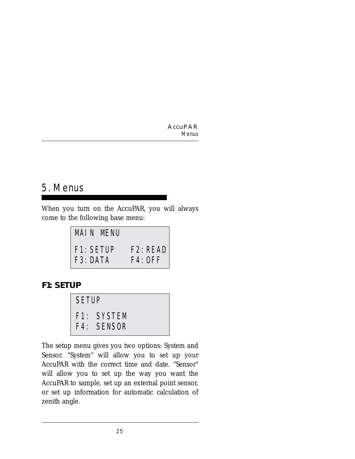## 5. Menus

When you turn on the AccuPAR, you will always come to the following base menu:



### **F1: SETUP**



The setup menu gives you two options: System and Sensor. "System" will allow you to set up your AccuPAR with the correct time and date. "Sensor" will allow you to set up the way you want the AccuPAR to sample, set up an external point sensor, or set up information for automatic calculation of zenith angle.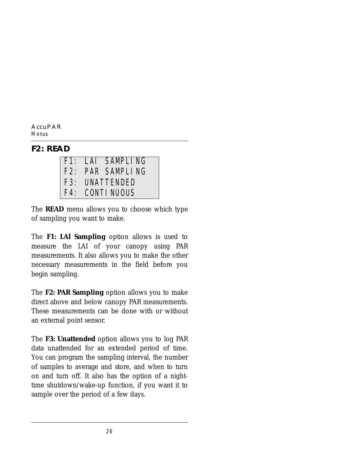### **F2: READ**

|                | F1: LAI SAMPLING |  |
|----------------|------------------|--|
|                | F2: PAR SAMPLING |  |
| F3: UNATTENDED |                  |  |
|                | F4: CONTINUOUS   |  |

The **READ** menu allows you to choose which type of sampling you want to make.

The **F1: LAI Sampling** option allows is used to measure the LAI of your canopy using PAR measurements. It also allows you to make the other necessary measurements in the field before you begin sampling.

The **F2: PAR Sampling** option allows you to make direct above and below canopy PAR measurements. These measurements can be done with or without an external point sensor.

The **F3: Unattended** option allows you to log PAR data unattended for an extended period of time. You can program the sampling interval, the number of samples to average and store, and when to turn on and turn off. It also has the option of a nighttime shutdown/wake-up function, if you want it to sample over the period of a few days.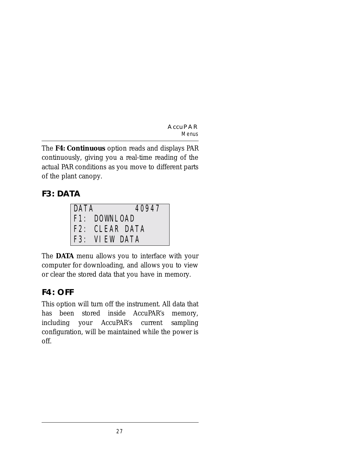The **F4: Continuous** option reads and displays PAR continuously, giving you a real-time reading of the actual PAR conditions as you move to different parts of the plant canopy.

## **F3: DATA**

| DATA | 40947          |
|------|----------------|
|      | F1: DOWNLOAD   |
|      | F2: CLEAR DATA |
|      | F3: VIEW DATA  |

The **DATA** menu allows you to interface with your computer for downloading, and allows you to view or clear the stored data that you have in memory.

## **F4: OFF**

This option will turn off the instrument. All data that has been stored inside AccuPAR's memory, including your AccuPAR's current sampling configuration, will be maintained while the power is off.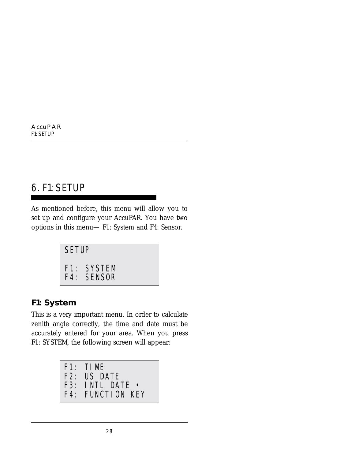## 6. F1: SETUP

As mentioned before, this menu will allow you to set up and configure your AccuPAR. You have two options in this menu— F1: System and F4: Sensor.

```
SETUP
F1: SYSTEM
F4: SENSOR
```
## **F1: System**

This is a very important menu. In order to calculate zenith angle correctly, the time and date must be accurately entered for your area. When you press F1: SYSTEM, the following screen will appear:

```
F1: TIME
F2: US DATE
F3: INTL DATE •
F4: FUNCTION KEY
```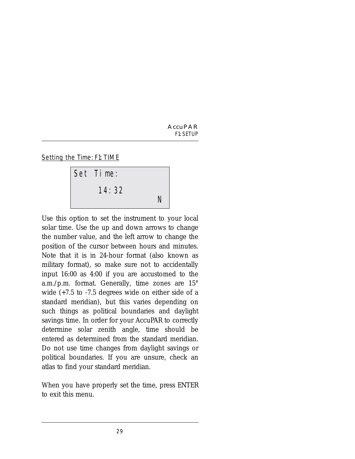Setting the Time: F1: TIME



Use this option to set the instrument to your local solar time. Use the up and down arrows to change the number value, and the left arrow to change the position of the cursor between hours and minutes. Note that it is in 24-hour format (also known as military format), so make sure not to accidentally input 16:00 as 4:00 if you are accustomed to the a.m./p.m. format. Generally, time zones are 15° wide (+7.5 to -7.5 degrees wide on either side of a standard meridian), but this varies depending on such things as political boundaries and daylight savings time. In order for your AccuPAR to correctly determine solar zenith angle, time should be entered as determined from the standard meridian. Do not use time changes from daylight savings or political boundaries. If you are unsure, check an atlas to find your standard meridian.

When you have properly set the time, press ENTER to exit this menu.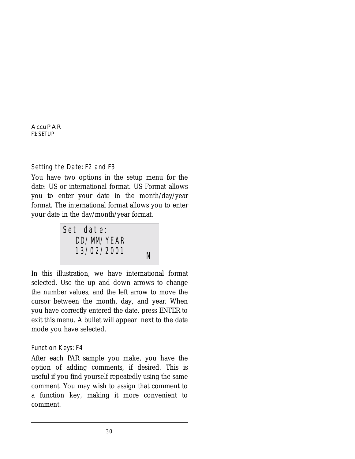Setting the Date: F2 and F3

You have two options in the setup menu for the date: US or international format. US Format allows you to enter your date in the month/day/year format. The international format allows you to enter your date in the day/month/year format.



In this illustration, we have international format selected. Use the up and down arrows to change the number values, and the left arrow to move the cursor between the month, day, and year. When you have correctly entered the date, press ENTER to exit this menu. A bullet will appear next to the date mode you have selected.

#### Function Keys: F4

After each PAR sample you make, you have the option of adding comments, if desired. This is useful if you find yourself repeatedly using the same comment. You may wish to assign that comment to a function key, making it more convenient to comment.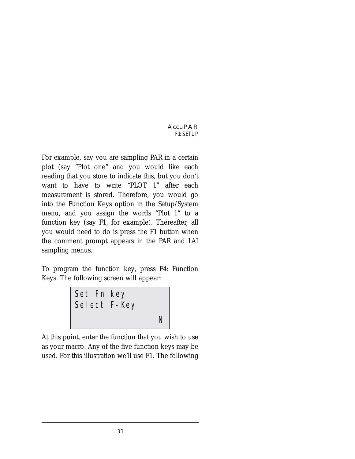For example, say you are sampling PAR in a certain plot (say "Plot one" and you would like each reading that you store to indicate this, but you don't want to have to write "PLOT 1" after each measurement is stored. Therefore, you would go into the Function Keys option in the Setup/System menu, and you assign the words "Plot 1" to a function key (say F1, for example). Thereafter, all you would need to do is press the F1 button when the comment prompt appears in the PAR and LAI sampling menus.

To program the function key, press F4: Function Keys. The following screen will appear:

Set Fn key: Select F-Key N

At this point, enter the function that you wish to use as your macro. Any of the five function keys may be used. For this illustration we'll use F1. The following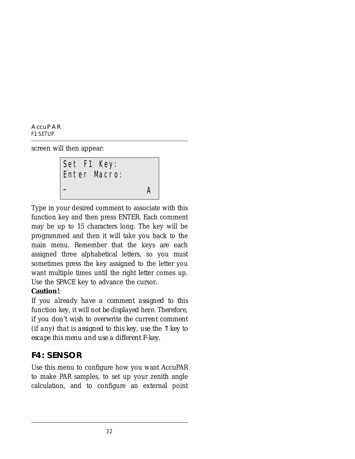screen will then appear:

Set F1 Key: Enter Macro: \_ <sup>A</sup>

Type in your desired comment to associate with this function key and then press ENTER. Each comment may be up to 15 characters long. The key will be programmed and then it will take you back to the main menu. Remember that the keys are each assigned three alphabetical letters, so you must sometimes press the key assigned to the letter you want multiple times until the right letter comes up. Use the SPACE key to advance the cursor.

#### **Caution!**:

*If you already have a comment assigned to this function key, it will not be displayed here. Therefore, if you don't wish to overwrite the current comment (if any) that is assigned to this key, use the* ⇑ *key to escape this menu and use a different F-key.*

### **F4: SENSOR**

Use this menu to configure how you want AccuPAR to make PAR samples, to set up your zenith angle calculation, and to configure an external point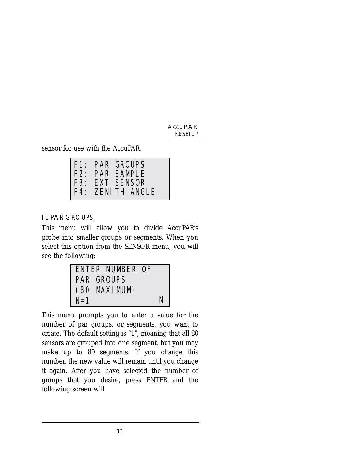sensor for use with the AccuPAR.

|  | F1: PAR GROUPS   |
|--|------------------|
|  | F2: PAR SAMPLE   |
|  | F3: EXT SENSOR   |
|  | F4: ZENITH ANGLE |

#### F1: PAR GROUPS

This menu will allow you to divide AccuPAR's probe into smaller groups or segments. When you select this option from the SENSOR menu, you will see the following:

|         | ENTER NUMBER OF   |   |
|---------|-------------------|---|
|         | <b>PAR GROUPS</b> |   |
|         | (80 MAXI MUM)     |   |
| $N = 1$ |                   | N |

This menu prompts you to enter a value for the number of par groups, or segments, you want to create. The default setting is "1", meaning that all 80 sensors are grouped into one segment, but you may make up to 80 segments. If you change this number, the new value will remain until you change it again. After you have selected the number of groups that you desire, press ENTER and the following screen will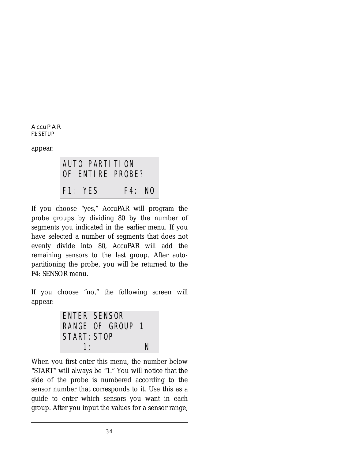**AccuPAR** *F1: SETUP*

appear:

AUTO PARTITION OF ENTIRE PROBE? F1: YES F4: NO

If you choose "yes," AccuPAR will program the probe groups by dividing 80 by the number of segments you indicated in the earlier menu. If you have selected a number of segments that does not evenly divide into 80, AccuPAR will add the remaining sensors to the last group. After autopartitioning the probe, you will be returned to the F4: SENSOR menu.

If you choose "no," the following screen will appear:



When you first enter this menu, the number below "START" will always be "1." You will notice that the side of the probe is numbered according to the sensor number that corresponds to it. Use this as a guide to enter which sensors you want in each group. After you input the values for a sensor range,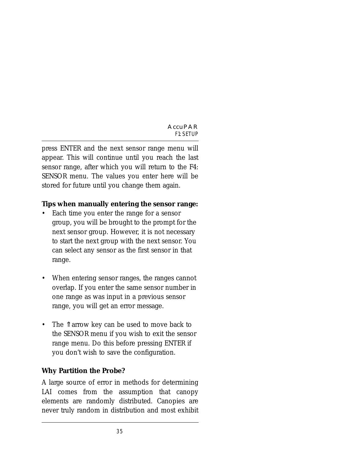press ENTER and the next sensor range menu will appear. This will continue until you reach the last sensor range, after which you will return to the F4: SENSOR menu. The values you enter here will be stored for future until you change them again.

#### **Tips when manually entering the sensor range:**

- Each time you enter the range for a sensor group, you will be brought to the prompt for the next sensor group. However, it is not necessary to start the next group with the next sensor. You can select any sensor as the first sensor in that range.
- When entering sensor ranges, the ranges cannot overlap. If you enter the same sensor number in one range as was input in a previous sensor range, you will get an error message.
- The ↑ arrow key can be used to move back to the SENSOR menu if you wish to exit the sensor range menu. Do this before pressing ENTER if you don't wish to save the configuration.

#### **Why Partition the Probe?**

A large source of error in methods for determining LAI comes from the assumption that canopy elements are randomly distributed. Canopies are never truly random in distribution and most exhibit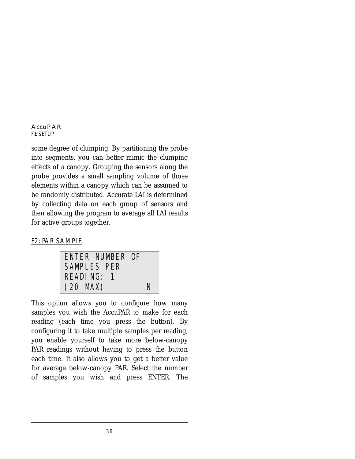some degree of clumping. By partitioning the probe into segments, you can better mimic the clumping effects of a canopy. Grouping the sensors along the probe provides a small sampling volume of those elements within a canopy which can be assumed to be randomly distributed. Accurate LAI is determined by collecting data on each group of sensors and then allowing the program to average all LAI results for active groups together.

#### F2: PAR SAMPLE



This option allows you to configure how many samples you wish the AccuPAR to make for each reading (each time you press the button). By configuring it to take multiple samples per reading, you enable yourself to take more below-canopy PAR readings without having to press the button each time. It also allows you to get a better value for average below-canopy PAR. Select the number of samples you wish and press ENTER. The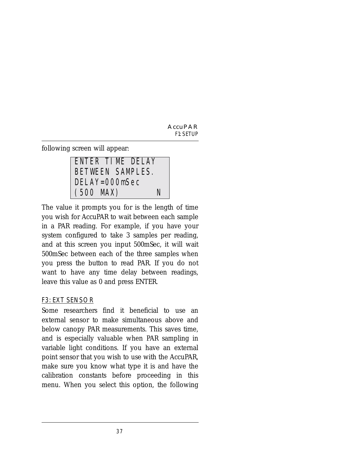following screen will appear:

ENTER TIME DELAY BETWEEN SAMPLES. DELAY=000mSec (500 MAX) N

The value it prompts you for is the length of time you wish for AccuPAR to wait between each sample in a PAR reading. For example, if you have your system configured to take 3 samples per reading, and at this screen you input 500mSec, it will wait 500mSec between each of the three samples when you press the button to read PAR. If you do not want to have any time delay between readings, leave this value as 0 and press ENTER.

#### F3: EXT SENSOR

Some researchers find it beneficial to use an external sensor to make simultaneous above and below canopy PAR measurements. This saves time, and is especially valuable when PAR sampling in variable light conditions. If you have an external point sensor that you wish to use with the AccuPAR, make sure you know what type it is and have the calibration constants before proceeding in this menu. When you select this option, the following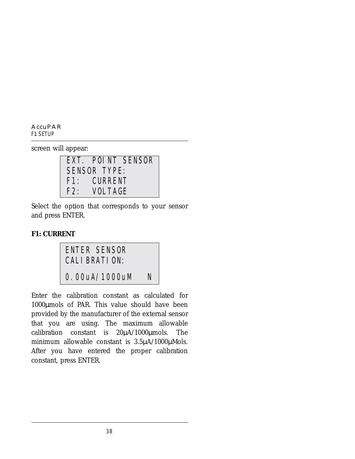screen will appear:

|     |              | EXT. POINT SENSOR |
|-----|--------------|-------------------|
|     | SENSOR TYPE: |                   |
|     | F1: CURRENT  |                   |
| F2: | VOLTAGE      |                   |

Select the option that corresponds to your sensor and press ENTER.

#### **F1: CURRENT**

ENTER SENSOR CALIBRATION: 0.00uA/1000uM N

Enter the calibration constant as calculated for 1000µmols of PAR. This value should have been provided by the manufacturer of the external sensor that you are using. The maximum allowable calibration constant is 20µA/1000µmols. The minimum allowable constant is  $3.5\mu\text{A}/1000\mu\text{Mols}$ . After you have entered the proper calibration constant, press ENTER.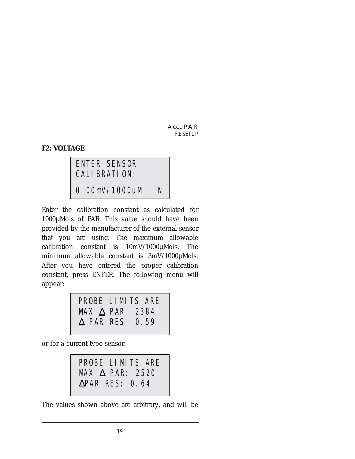#### **F2: VOLTAGE**

### ENTER SENSOR CALIBRATION:

0.00mV/1000uM N

Enter the calibration constant as calculated for 1000µMols of PAR. This value should have been provided by the manufacturer of the external sensor that you are using. The maximum allowable calibration constant is 10mV/1000µMols. The minimum allowable constant is 3mV/1000µMols. After you have entered the proper calibration constant, press ENTER. The following menu will appear:

| PROBE LIMITS ARE          |  |  |
|---------------------------|--|--|
| MAX $\triangle$ PAR: 2384 |  |  |
| $\triangle$ PAR RES: 0.59 |  |  |

or for a current-type sensor:

PROBE LIMITS ARE MAX ∆ PAR: 2520 ∆PAR RES: 0.64

The values shown above are arbitrary, and will be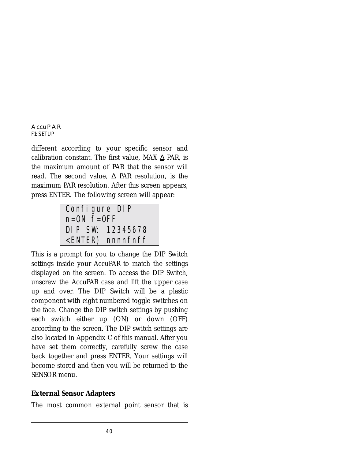different according to your specific sensor and calibration constant. The first value, MAX  $\triangle$  PAR, is the maximum amount of PAR that the sensor will read. The second value,  $\Delta$  PAR resolution, is the maximum PAR resolution. After this screen appears, press ENTER. The following screen will appear:

Configure DIP n=ON f=OFF DIP SW: 12345678 <ENTER) nnnnfnff

This is a prompt for you to change the DIP Switch settings inside your AccuPAR to match the settings displayed on the screen. To access the DIP Switch, unscrew the AccuPAR case and lift the upper case up and over. The DIP Switch will be a plastic component with eight numbered toggle switches on the face. Change the DIP switch settings by pushing each switch either up (ON) or down (OFF) according to the screen. The DIP switch settings are also located in Appendix C of this manual. After you have set them correctly, carefully screw the case back together and press ENTER. Your settings will become stored and then you will be returned to the SENSOR menu.

#### **External Sensor Adapters**

The most common external point sensor that is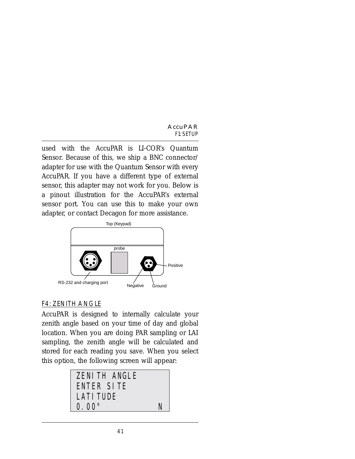used with the AccuPAR is LI-COR's Quantum Sensor. Because of this, we ship a BNC connector/ adapter for use with the Quantum Sensor with every AccuPAR. If you have a different type of external sensor, this adapter may not work for you. Below is a pinout illustration for the AccuPAR's external sensor port. You can use this to make your own adapter, or contact Decagon for more assistance.



### F4: ZENITH ANGLE

AccuPAR is designed to internally calculate your zenith angle based on your time of day and global location. When you are doing PAR sampling or LAI sampling, the zenith angle will be calculated and stored for each reading you save. When you select this option, the following screen will appear:

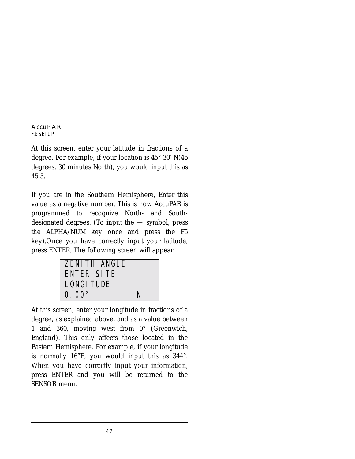At this screen, enter your latitude in fractions of a degree. For example, if your location is 45° 30' N(45 degrees, 30 minutes North), you would input this as 45.5.

If you are in the Southern Hemisphere, Enter this value as a negative number. This is how AccuPAR is programmed to recognize North- and Southdesignated degrees. (To input the  $-$  symbol, press the ALPHA/NUM key once and press the F5 key).Once you have correctly input your latitude, press ENTER. The following screen will appear:

| <b>ZENITH ANGLE</b><br>ENTER SITE |   |
|-----------------------------------|---|
| <b>LONGI TUDE</b>                 |   |
| $0.00^{\circ}$                    | N |

At this screen, enter your longitude in fractions of a degree, as explained above, and as a value between 1 and 360, moving west from 0° (Greenwich, England). This only affects those located in the Eastern Hemisphere. For example, if your longitude is normally 16°E, you would input this as 344°. When you have correctly input your information, press ENTER and you will be returned to the SENSOR menu.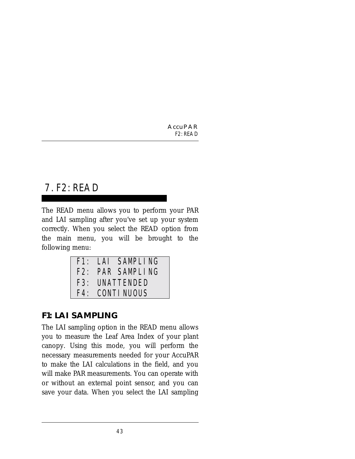# 7. F2: READ

The READ menu allows you to perform your PAR and LAI sampling after you've set up your system correctly. When you select the READ option from the main menu, you will be brought to the following menu:

|  | F1: LAI SAMPLING |
|--|------------------|
|  | F2: PAR SAMPLING |
|  | F3: UNATTENDED   |
|  | F4: CONTINUOUS   |

### **F1: LAI SAMPLING**

The LAI sampling option in the READ menu allows you to measure the Leaf Area Index of your plant canopy. Using this mode, you will perform the necessary measurements needed for your AccuPAR to make the LAI calculations in the field, and you will make PAR measurements. You can operate with or without an external point sensor, and you can save your data. When you select the LAI sampling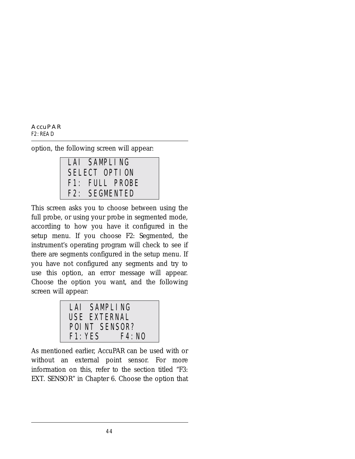option, the following screen will appear:



This screen asks you to choose between using the full probe, or using your probe in segmented mode, according to how you have it configured in the setup menu. If you choose F2: Segmented, the instrument's operating program will check to see if there are segments configured in the setup menu. If you have not configured any segments and try to use this option, an error message will appear. Choose the option you want, and the following screen will appear:



As mentioned earlier, AccuPAR can be used with or without an external point sensor. For more information on this, refer to the section titled "F3: EXT. SENSOR" in Chapter 6. Choose the option that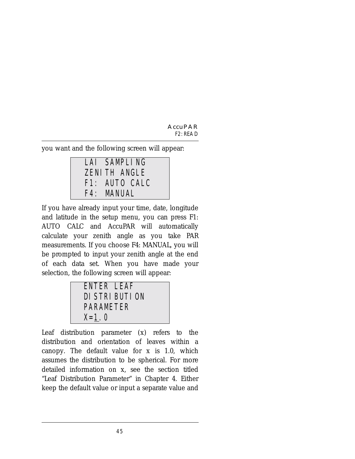you want and the following screen will appear:

| LAI SAMPLING        |
|---------------------|
| <b>ZENITH ANGLE</b> |
| F1: AUTO CALC       |
| F4: MANUAL          |

If you have already input your time, date, longitude and latitude in the setup menu, you can press F1: AUTO CALC and AccuPAR will automatically calculate your zenith angle as you take PAR measurements. If you choose F4: MANUAL, you will be prompted to input your zenith angle at the end of each data set. When you have made your selection, the following screen will appear:

| ENTER LEAF |                 |
|------------|-----------------|
|            | DI STRI BUTI ON |
| PARAMETER  |                 |
| $X = 1.0$  |                 |

Leaf distribution parameter (*x*) refers to the distribution and orientation of leaves within a canopy. The default value for *x* is 1.0, which assumes the distribution to be spherical. For more detailed information on *x*, see the section titled "Leaf Distribution Parameter" in Chapter 4. Either keep the default value or input a separate value and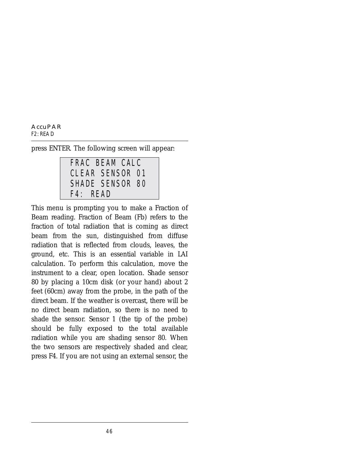press ENTER. The following screen will appear:

FRAC BEAM CALC CLEAR SENSOR 01 SHADE SENSOR 80 F4: READ

This menu is prompting you to make a Fraction of Beam reading. Fraction of Beam (Fb) refers to the fraction of total radiation that is coming as direct beam from the sun, distinguished from diffuse radiation that is reflected from clouds, leaves, the ground, etc. This is an essential variable in LAI calculation. To perform this calculation, move the instrument to a clear, open location. Shade sensor 80 by placing a 10cm disk (or your hand) about 2 feet (60cm) away from the probe, in the path of the direct beam. If the weather is overcast, there will be no direct beam radiation, so there is no need to shade the sensor. Sensor 1 (the tip of the probe) should be fully exposed to the total available radiation while you are shading sensor 80. When the two sensors are respectively shaded and clear, press F4. If you are not using an external sensor, the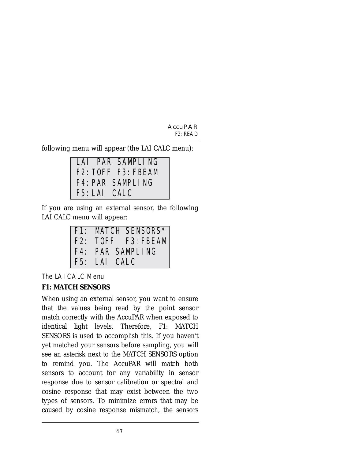following menu will appear (the LAI CALC menu):

LAI PAR SAMPLING F2:TOFF F3:FBEAM F4:PAR SAMPLING F5:LAI CALC

If you are using an external sensor, the following LAI CALC menu will appear:



The LAI CALC Menu

### **F1: MATCH SENSORS**

When using an external sensor, you want to ensure that the values being read by the point sensor match correctly with the AccuPAR when exposed to identical light levels. Therefore, F1: MATCH SENSORS is used to accomplish this. If you haven't yet matched your sensors before sampling, you will see an asterisk next to the MATCH SENSORS option to remind you. The AccuPAR will match both sensors to account for any variability in sensor response due to sensor calibration or spectral and cosine response that may exist between the two types of sensors. To minimize errors that may be caused by cosine response mismatch, the sensors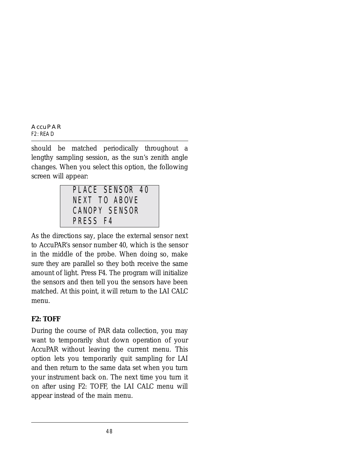should be matched periodically throughout a lengthy sampling session, as the sun's zenith angle changes. When you select this option, the following screen will appear:

PLACE SENSOR 40 NEXT TO ABOVE CANOPY SENSOR PRESS F4

As the directions say, place the external sensor next to AccuPAR's sensor number 40, which is the sensor in the middle of the probe. When doing so, make sure they are parallel so they both receive the same amount of light. Press F4. The program will initialize the sensors and then tell you the sensors have been matched. At this point, it will return to the LAI CALC menu.

#### **F2: TOFF**

During the course of PAR data collection, you may want to temporarily shut down operation of your AccuPAR without leaving the current menu. This option lets you temporarily quit sampling for LAI and then return to the same data set when you turn your instrument back on. The next time you turn it on after using F2: TOFF, the LAI CALC menu will appear instead of the main menu.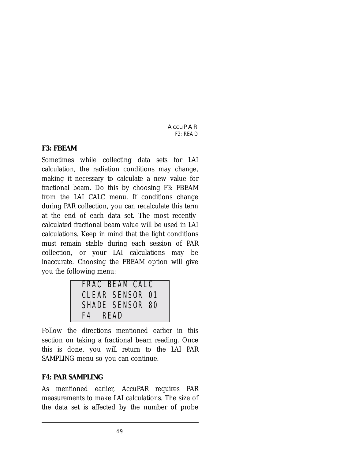#### **F3: FBEAM**

Sometimes while collecting data sets for LAI calculation, the radiation conditions may change, making it necessary to calculate a new value for fractional beam. Do this by choosing F3: FBEAM from the LAI CALC menu. If conditions change during PAR collection, you can recalculate this term at the end of each data set. The most recentlycalculated fractional beam value will be used in LAI calculations. Keep in mind that the light conditions must remain stable during each session of PAR collection, or your LAI calculations may be inaccurate. Choosing the FBEAM option will give you the following menu:

| FRAC BEAM CALC         |  |
|------------------------|--|
| <b>CLEAR SENSOR 01</b> |  |
| SHADE SENSOR 80        |  |
| $F4$ : READ            |  |

Follow the directions mentioned earlier in this section on taking a fractional beam reading. Once this is done, you will return to the LAI PAR SAMPLING menu so you can continue.

### **F4: PAR SAMPLING**

As mentioned earlier, AccuPAR requires PAR measurements to make LAI calculations. The size of the data set is affected by the number of probe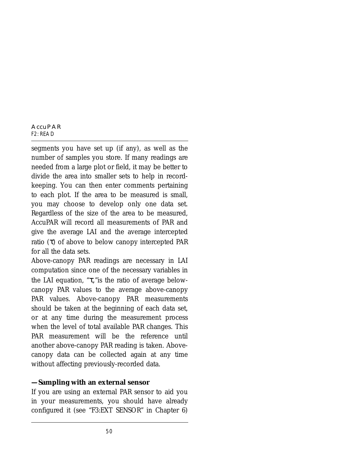segments you have set up (if any), as well as the number of samples you store. If many readings are needed from a large plot or field, it may be better to divide the area into smaller sets to help in recordkeeping. You can then enter comments pertaining to each plot. If the area to be measured is small, you may choose to develop only one data set. Regardless of the size of the area to be measured, AccuPAR will record all measurements of PAR and give the average LAI and the average intercepted ratio  $(\tau)$  of above to below canopy intercepted PAR for all the data sets.

Above-canopy PAR readings are necessary in LAI computation since one of the necessary variables in the LAI equation, "τ,"is the ratio of average belowcanopy PAR values to the average above-canopy PAR values. Above-canopy PAR measurements should be taken at the beginning of each data set, or at any time during the measurement process when the level of total available PAR changes. This PAR measurement will be the reference until another above-canopy PAR reading is taken. Abovecanopy data can be collected again at any time without affecting previously-recorded data.

#### **—Sampling with an external sensor**

If you are using an external PAR sensor to aid you in your measurements, you should have already configured it (see "F3:EXT SENSOR" in Chapter 6)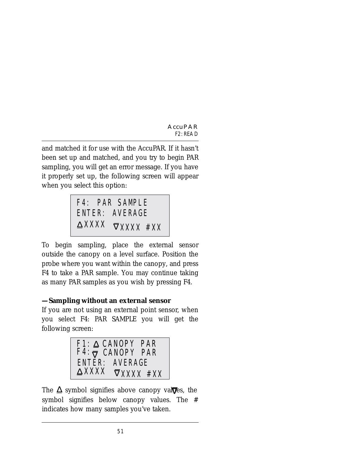and matched it for use with the AccuPAR. If it hasn't been set up and matched, and you try to begin PAR sampling, you will get an error message. If you have it properly set up, the following screen will appear when you select this option:



To begin sampling, place the external sensor outside the canopy on a level surface. Position the probe where you want within the canopy, and press F4 to take a PAR sample. You may continue taking as many PAR samples as you wish by pressing F4.

#### **—Sampling without an external sensor**

If you are not using an external point sensor, when you select F4: PAR SAMPLE you will get the following screen:



The  $\Delta$  symbol signifies above canopy val $\overline{\mathbf{V}}$ es, the symbol signifies below canopy values. The # indicates how many samples you've taken.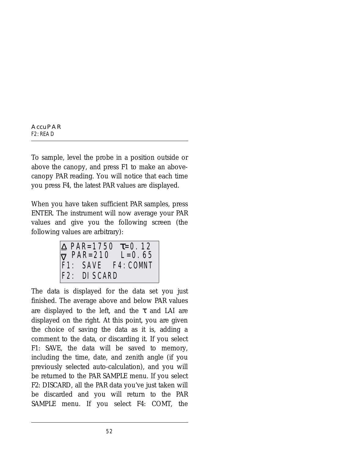To sample, level the probe in a position outside or above the canopy, and press F1 to make an abovecanopy PAR reading. You will notice that each time you press F4, the latest PAR values are displayed.

When you have taken sufficient PAR samples, press ENTER. The instrument will now average your PAR values and give you the following screen (the following values are arbitrary):

F1: SAVE F4:COMNT  $\nabla$  PAR=210 L=0.65 F2: DISCARD  $\triangle$  PAR=1750 τ=0.12

The data is displayed for the data set you just finished. The average above and below PAR values are displayed to the left, and the  $\tau$  and LAI are displayed on the right. At this point, you are given the choice of saving the data as it is, adding a comment to the data, or discarding it. If you select F1: SAVE, the data will be saved to memory, including the time, date, and zenith angle (if you previously selected auto-calculation), and you will be returned to the PAR SAMPLE menu. If you select F2: DISCARD, all the PAR data you've just taken will be discarded and you will return to the PAR SAMPLE menu. If you select F4: COMT, the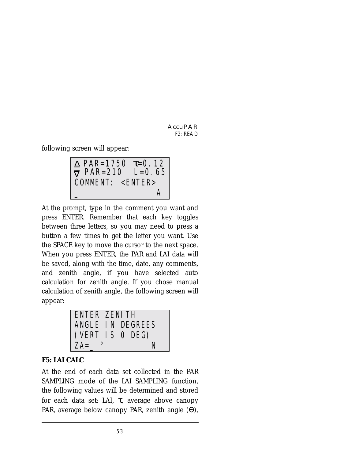following screen will appear:

COMMENT: <ENTER>  $\nabla$  PAR=210 L=0.65  $\overline{\phantom{a}}$  and  $\overline{\phantom{a}}$  and  $\overline{\phantom{a}}$  and  $\overline{\phantom{a}}$  and  $\overline{\phantom{a}}$  and  $\overline{\phantom{a}}$  and  $\overline{\phantom{a}}$  and  $\overline{\phantom{a}}$  and  $\overline{\phantom{a}}$  and  $\overline{\phantom{a}}$  and  $\overline{\phantom{a}}$  and  $\overline{\phantom{a}}$  and  $\overline{\phantom{a}}$  and  $\overline{\phantom{a}}$  a  $\triangle$  PAR=1750 τ=0.12

At the prompt, type in the comment you want and press ENTER. Remember that each key toggles between three letters, so you may need to press a button a few times to get the letter you want. Use the SPACE key to move the cursor to the next space. When you press ENTER, the PAR and LAI data will be saved, along with the time, date, any comments, and zenith angle, if you have selected auto calculation for zenith angle. If you chose manual calculation of zenith angle, the following screen will appear:

| ENTER ZENITH |                  |  |
|--------------|------------------|--|
|              | ANGLE IN DEGREES |  |
|              | (VERT IS O DEG)  |  |
| $ZA =$       | N                |  |

#### **F5: LAI CALC**

At the end of each data set collected in the PAR SAMPLING mode of the LAI SAMPLING function, the following values will be determined and stored for each data set: LAI,  $\tau$ , average above canopy PAR, average below canopy PAR, zenith angle (Θ),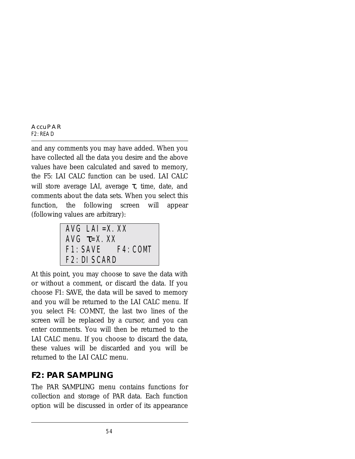and any comments you may have added. When you have collected all the data you desire and the above values have been calculated and saved to memory, the F5: LAI CALC function can be used. LAI CALC will store average LAI, average  $\tau$ , time, date, and comments about the data sets. When you select this function, the following screen will appear (following values are arbitrary):

$$
\begin{array}{ll}\n\text{AVG} & \text{LAI} = \text{X. XX} \\
\text{AVG} & \tau = \text{X. XX} \\
\text{F1: SAVE} & \text{F4: COMT} \\
\text{F2: DI SCARD}\n\end{array}
$$

At this point, you may choose to save the data with or without a comment, or discard the data. If you choose F1: SAVE, the data will be saved to memory and you will be returned to the LAI CALC menu. If you select F4: COMNT, the last two lines of the screen will be replaced by a cursor, and you can enter comments. You will then be returned to the LAI CALC menu. If you choose to discard the data, these values will be discarded and you will be returned to the LAI CALC menu.

## **F2: PAR SAMPLING**

The PAR SAMPLING menu contains functions for collection and storage of PAR data. Each function option will be discussed in order of its appearance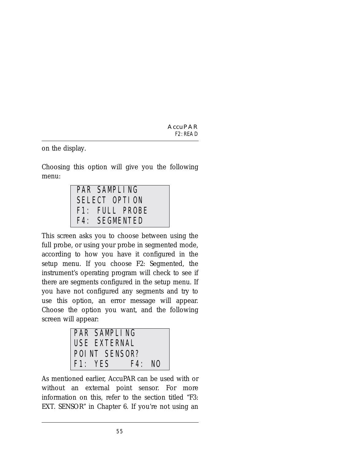on the display.

Choosing this option will give you the following menu:

| PAR SAMPLING   |
|----------------|
| SELECT OPTION  |
| F1: FULL PROBE |
| F4: SEGMENTED  |

This screen asks you to choose between using the full probe, or using your probe in segmented mode, according to how you have it configured in the setup menu. If you choose F2: Segmented, the instrument's operating program will check to see if there are segments configured in the setup menu. If you have not configured any segments and try to use this option, an error message will appear. Choose the option you want, and the following screen will appear:

| PAR SAMPLING  |       |  |
|---------------|-------|--|
| USE EXTERNAL  |       |  |
| POINT SENSOR? |       |  |
| F1:YFS        | F4:NO |  |

As mentioned earlier, AccuPAR can be used with or without an external point sensor. For more information on this, refer to the section titled "F3: EXT. SENSOR" in Chapter 6. If you're not using an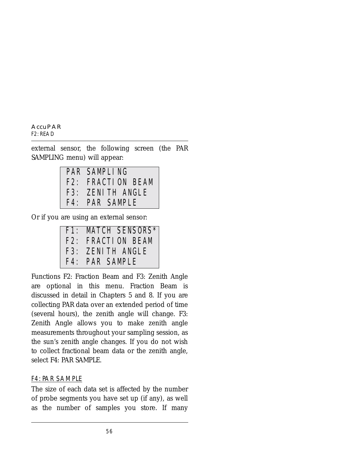external sensor, the following screen (the PAR SAMPLING menu) will appear:

| PAR SAMPLING      |
|-------------------|
| F2: FRACTION BEAM |
| F3: ZENITH ANGLE  |
| F4: PAR SAMPLE    |

Or if you are using an external sensor:

| F1: MATCH SENSORS* |
|--------------------|
| F2: FRACTION BEAM  |
|                    |
| F3: ZENITH ANGLE   |
| F4: PAR SAMPLE     |

Functions F2: Fraction Beam and F3: Zenith Angle are optional in this menu. Fraction Beam is discussed in detail in Chapters 5 and 8. If you are collecting PAR data over an extended period of time (several hours), the zenith angle will change. F3: Zenith Angle allows you to make zenith angle measurements throughout your sampling session, as the sun's zenith angle changes. If you do not wish to collect fractional beam data or the zenith angle, select F4: PAR SAMPLE.

#### F4: PAR SAMPLE

The size of each data set is affected by the number of probe segments you have set up (if any), as well as the number of samples you store. If many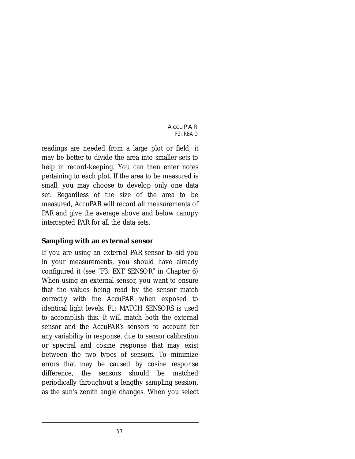readings are needed from a large plot or field, it may be better to divide the area into smaller sets to help in record-keeping. You can then enter notes pertaining to each plot. If the area to be measured is small, you may choose to develop only one data set. Regardless of the size of the area to be measured, AccuPAR will record all measurements of PAR and give the average above and below canopy intercepted PAR for all the data sets.

#### **Sampling with an external sensor**

If you are using an external PAR sensor to aid you in your measurements, you should have already configured it (see "F3: EXT SENSOR" in Chapter 6) When using an external sensor, you want to ensure that the values being read by the sensor match correctly with the AccuPAR when exposed to identical light levels. F1: MATCH SENSORS is used to accomplish this. It will match both the external sensor and the AccuPAR's sensors to account for any variability in response, due to sensor calibration or spectral and cosine response that may exist between the two types of sensors. To minimize errors that may be caused by cosine response difference, the sensors should be matched periodically throughout a lengthy sampling session, as the sun's zenith angle changes. When you select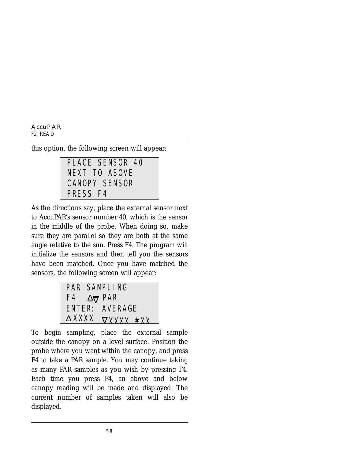this option, the following screen will appear:



As the directions say, place the external sensor next to AccuPAR's sensor number 40, which is the sensor in the middle of the probe. When doing so, make sure they are parallel so they are both at the same angle relative to the sun. Press F4. The program will initialize the sensors and then tell you the sensors have been matched. Once you have matched the sensors, the following screen will appear:



To begin sampling, place the external sample outside the canopy on a level surface. Position the probe where you want within the canopy, and press F4 to take a PAR sample. You may continue taking as many PAR samples as you wish by pressing F4. Each time you press F4, an above and below canopy reading will be made and displayed. The current number of samples taken will also be displayed.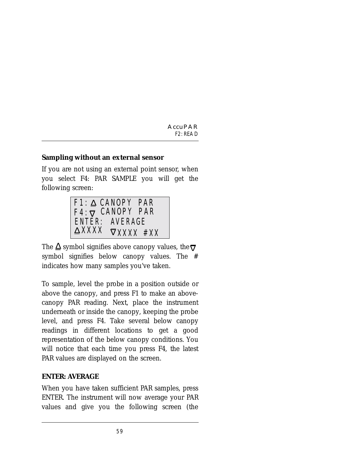#### **Sampling without an external sensor**

If you are not using an external point sensor, when you select F4: PAR SAMPLE you will get the following screen:



The  $\Delta$  symbol signifies above canopy values, the  $\overline{\nabla}$ symbol signifies below canopy values. The # indicates how many samples you've taken.

To sample, level the probe in a position outside or above the canopy, and press F1 to make an abovecanopy PAR reading. Next, place the instrument underneath or inside the canopy, keeping the probe level, and press F4. Take several below canopy readings in different locations to get a good representation of the below canopy conditions. You will notice that each time you press F4, the latest PAR values are displayed on the screen.

#### **ENTER: AVERAGE**

When you have taken sufficient PAR samples, press ENTER. The instrument will now average your PAR values and give you the following screen (the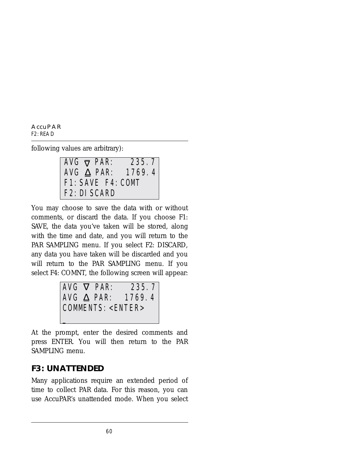following values are arbitrary):

| $\overline{A}VG \overline{\nabla} PAR$ : |                   | 235.7                       |
|------------------------------------------|-------------------|-----------------------------|
|                                          |                   | AVG $\triangle$ PAR: 1769.4 |
|                                          | F1: SAVE F4: COMT |                             |
| F <sub>2</sub> : DI SCARD                |                   |                             |

You may choose to save the data with or without comments, or discard the data. If you choose F1: SAVE, the data you've taken will be stored, along with the time and date, and you will return to the PAR SAMPLING menu. If you select F2: DISCARD, any data you have taken will be discarded and you will return to the PAR SAMPLING menu. If you select F4: COMNT, the following screen will appear:

|                           |  | $AVG \nabla PAR$ : | 235.7                    |
|---------------------------|--|--------------------|--------------------------|
|                           |  |                    | AVG $\Delta$ PAR: 1769.4 |
| COMMENTS: <enter></enter> |  |                    |                          |
|                           |  |                    |                          |

At the prompt, enter the desired comments and press ENTER. You will then return to the PAR SAMPLING menu.

### **F3: UNATTENDED**

Many applications require an extended period of time to collect PAR data. For this reason, you can use AccuPAR's unattended mode. When you select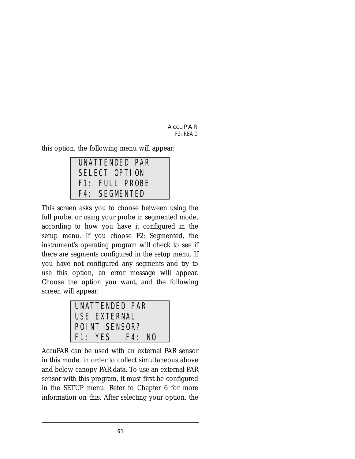this option, the following menu will appear:

| UNATTENDED PAR |
|----------------|
| SELECT OPTION  |
| F1: FULL PROBE |
| F4: SEGMENTED  |

This screen asks you to choose between using the full probe, or using your probe in segmented mode, according to how you have it configured in the setup menu. If you choose F2: Segmented, the instrument's operating program will check to see if there are segments configured in the setup menu. If you have not configured any segments and try to use this option, an error message will appear. Choose the option you want, and the following screen will appear:



AccuPAR can be used with an external PAR sensor in this mode, in order to collect simultaneous above and below canopy PAR data. To use an external PAR sensor with this program, it must first be configured in the SETUP menu. Refer to Chapter 6 for more information on this. After selecting your option, the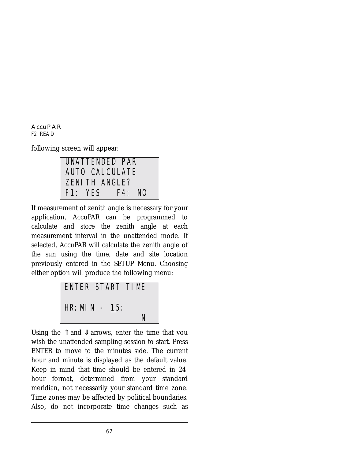following screen will appear:



If measurement of zenith angle is necessary for your application, AccuPAR can be programmed to calculate and store the zenith angle at each measurement interval in the unattended mode. If selected, AccuPAR will calculate the zenith angle of the sun using the time, date and site location previously entered in the SETUP Menu. Choosing either option will produce the following menu:



Using the  $\hat{\mathbb{I}}$  and  $\hat{\mathbb{I}}$  arrows, enter the time that you wish the unattended sampling session to start. Press ENTER to move to the minutes side. The current hour and minute is displayed as the default value. Keep in mind that time should be entered in 24 hour format, determined from your standard meridian, not necessarily your standard time zone. Time zones may be affected by political boundaries. Also, do not incorporate time changes such as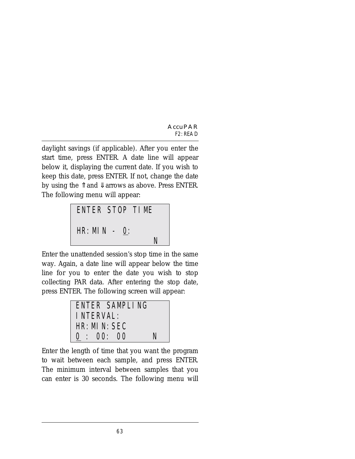daylight savings (if applicable). After you enter the start time, press ENTER. A date line will appear below it, displaying the current date. If you wish to keep this date, press ENTER. If not, change the date by using the  $\hat{\parallel}$  and  $\hat{\Downarrow}$  arrows as above. Press ENTER. The following menu will appear:



Enter the unattended session's stop time in the same way. Again, a date line will appear below the time line for you to enter the date you wish to stop collecting PAR data. After entering the stop date, press ENTER. The following screen will appear:



Enter the length of time that you want the program to wait between each sample, and press ENTER. The minimum interval between samples that you can enter is 30 seconds. The following menu will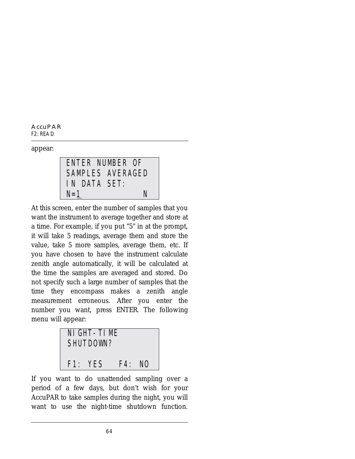appear:

ENTER NUMBER OF SAMPLES AVERAGED IN DATA SET:  $N=1$  N

At this screen, enter the number of samples that you want the instrument to average together and store at a time. For example, if you put "5" in at the prompt, it will take 5 readings, average them and store the value, take 5 more samples, average them, etc. If you have chosen to have the instrument calculate zenith angle automatically, it will be calculated at the time the samples are averaged and stored. Do not specify such a large number of samples that the time they encompass makes a zenith angle measurement erroneous. After you enter the number you want, press ENTER. The following menu will appear:

NIGHT-TIME SHUTDOWN? F1: YES F4: NO

If you want to do unattended sampling over a period of a few days, but don't wish for your AccuPAR to take samples during the night, you will want to use the night-time shutdown function.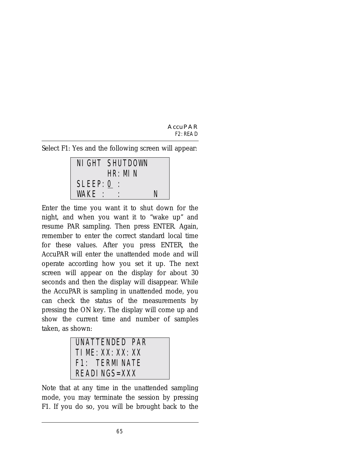Select F1: Yes and the following screen will appear:

| NI GHT SHUTDOWN<br>HR: MIN |  |   |
|----------------------------|--|---|
| $SLEEP: 0$ :               |  |   |
| WAKE :                     |  | N |

Enter the time you want it to shut down for the night, and when you want it to "wake up" and resume PAR sampling. Then press ENTER. Again, remember to enter the correct standard local time for these values. After you press ENTER, the AccuPAR will enter the unattended mode and will operate according how you set it up. The next screen will appear on the display for about 30 seconds and then the display will disappear. While the AccuPAR is sampling in unattended mode, you can check the status of the measurements by pressing the ON key. The display will come up and show the current time and number of samples taken, as shown:

| I UNATTENDED PAR |
|------------------|
| TIME: XX: XX: XX |
| F1: TERMI NATE   |
| I READINGS=XXX   |

Note that at any time in the unattended sampling mode, you may terminate the session by pressing F1. If you do so, you will be brought back to the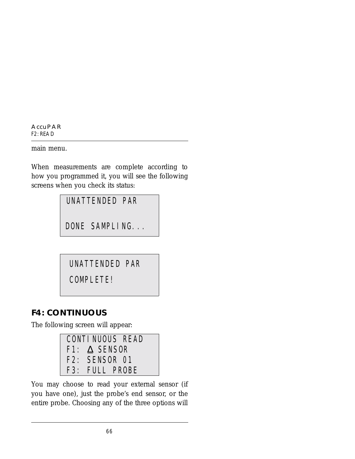main menu.

When measurements are complete according to how you programmed it, you will see the following screens when you check its status:

UNATTENDED PAR

DONE SAMPLING...

UNATTENDED PAR

COMPLETE!

## **F4: CONTINUOUS**

The following screen will appear:

| CONTINUOUS READ     |
|---------------------|
| $F1: \Delta$ SENSOR |
| F2: SENSOR 01       |
| F3: FULL PROBE      |

You may choose to read your external sensor (if you have one), just the probe's end sensor, or the entire probe. Choosing any of the three options will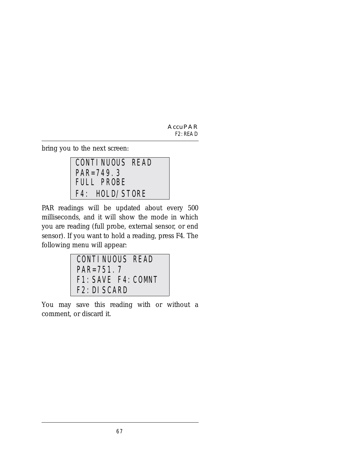bring you to the next screen:

CONTINUOUS READ PAR=749.3 F4: HOLD/STORE FULL PROBE

PAR readings will be updated about every 500 milliseconds, and it will show the mode in which you are reading (full probe, external sensor, or end sensor). If you want to hold a reading, press F4. The following menu will appear:

CONTINUOUS READ PAR=751.7 F1:SAVE F4:COMNT F2:DISCARD

You may save this reading with or without a comment, or discard it.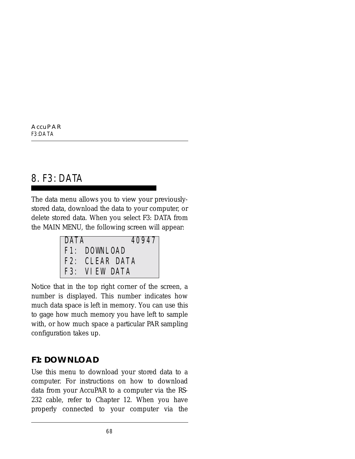# 8. F3: DATA

The data menu allows you to view your previouslystored data, download the data to your computer, or delete stored data. When you select F3: DATA from the MAIN MENU, the following screen will appear:

| <b>DATA</b> | 40947          |
|-------------|----------------|
|             | F1: DOWNLOAD   |
|             | F2: CLEAR DATA |
|             | F3: VIEW DATA  |

Notice that in the top right corner of the screen, a number is displayed. This number indicates how much data space is left in memory. You can use this to gage how much memory you have left to sample with, or how much space a particular PAR sampling configuration takes up.

### **F1: DOWNLOAD**

Use this menu to download your stored data to a computer. For instructions on how to download data from your AccuPAR to a computer via the RS-232 cable, refer to Chapter 12. When you have properly connected to your computer via the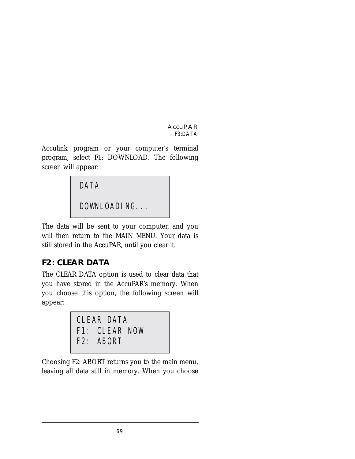Acculink program or your computer's terminal program, select F1: DOWNLOAD. The following screen will appear:

DATA

DOWNLOADING...

The data will be sent to your computer, and you will then return to the MAIN MENU. Your data is still stored in the AccuPAR, until you clear it.

# **F2: CLEAR DATA**

The CLEAR DATA option is used to clear data that you have stored in the AccuPAR's memory. When you choose this option, the following screen will appear:

CLEAR DATA F1: CLEAR NOW F2: ABORT

Choosing F2: ABORT returns you to the main menu, leaving all data still in memory. When you choose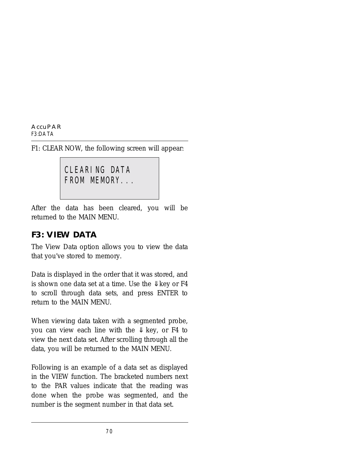**AccuPAR** *F3:DATA*

F1: CLEAR NOW, the following screen will appear:

```
CLEARING DATA
FROM MEMORY...
```
After the data has been cleared, you will be returned to the MAIN MENU.

### **F3: VIEW DATA**

The View Data option allows you to view the data that you've stored to memory.

Data is displayed in the order that it was stored, and is shown one data set at a time. Use the  $\downarrow$  key or F4 to scroll through data sets, and press ENTER to return to the MAIN MENU.

When viewing data taken with a segmented probe, you can view each line with the  $\downarrow$  key, or F4 to view the next data set. After scrolling through all the data, you will be returned to the MAIN MENU.

Following is an example of a data set as displayed in the VIEW function. The bracketed numbers next to the PAR values indicate that the reading was done when the probe was segmented, and the number is the segment number in that data set.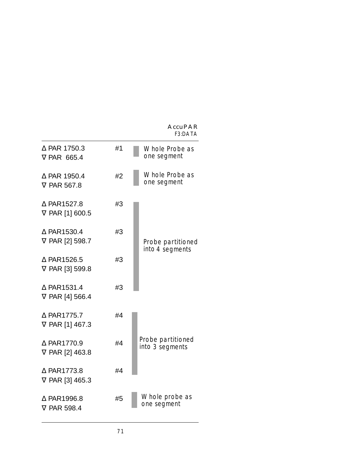**AccuPAR** *F3:DATA*

| $\Delta$ PAR 1750.3<br><b>V PAR 665.4</b>       | #1 | Whole Probe as<br>one segment        |
|-------------------------------------------------|----|--------------------------------------|
| $\Delta$ PAR 1950.4<br><b>V PAR 567.8</b>       | #2 | Whole Probe as<br>one segment        |
| $\triangle$ PAR1527.8<br>V PAR [1] 600.5        | #3 |                                      |
| $\triangle$ PAR1530.4<br>V PAR [2] 598.7        | #3 | Probe partitioned<br>into 4 segments |
| $\triangle$ PAR1526.5<br>V PAR [3] 599.8        | #3 |                                      |
| $\triangle$ PAR1531.4<br>$\nabla$ PAR [4] 566.4 | #3 |                                      |
| $\triangle$ PAR1775.7<br>$\nabla$ PAR [1] 467.3 | #4 |                                      |
| $\triangle$ PAR1770.9<br>$\nabla$ PAR [2] 463.8 | #4 | Probe partitioned<br>into 3 segments |
| $\triangle$ PAR1773.8<br>$\nabla$ PAR [3] 465.3 | #4 |                                      |
| $\Delta$ PAR1996.8<br>$\nabla$ PAR 598.4        | #5 | Whole probe as<br>one segment        |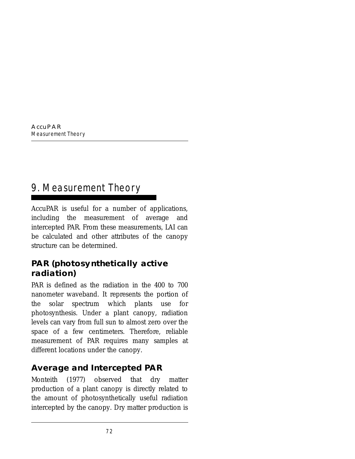# 9. Measurement Theory

AccuPAR is useful for a number of applications, including the measurement of average and intercepted PAR. From these measurements, LAI can be calculated and other attributes of the canopy structure can be determined.

## **PAR (photosynthetically active radiation)**

PAR is defined as the radiation in the 400 to 700 nanometer waveband. It represents the portion of the solar spectrum which plants use for photosynthesis. Under a plant canopy, radiation levels can vary from full sun to almost zero over the space of a few centimeters. Therefore, reliable measurement of PAR requires many samples at different locations under the canopy.

# **Average and Intercepted PAR**

Monteith (1977) observed that dry matter production of a plant canopy is directly related to the amount of photosynthetically useful radiation intercepted by the canopy. Dry matter production is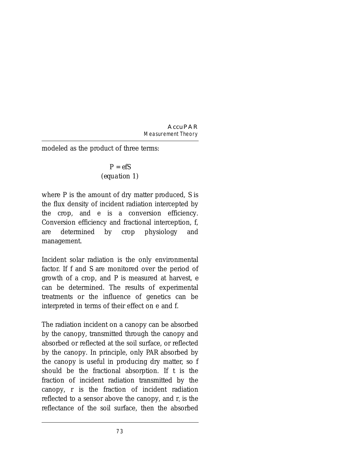modeled as the product of three terms:

$$
P = e f S
$$
  
(equation 1)

where *P* is the amount of dry matter produced, *S* is the flux density of incident radiation intercepted by the crop, and e is a conversion efficiency. Conversion efficiency and fractional interception, *f*, are determined by crop physiology and management.

Incident solar radiation is the only environmental factor. If *f* and *S* are monitored over the period of growth of a crop, and P is measured at harvest, *e* can be determined. The results of experimental treatments or the influence of genetics can be interpreted in terms of their effect on e and *f*.

The radiation incident on a canopy can be absorbed by the canopy, transmitted through the canopy and absorbed or reflected at the soil surface, or reflected by the canopy. In principle, only PAR absorbed by the canopy is useful in producing dry matter, so *f* should be the fractional absorption. If *t* is the fraction of incident radiation transmitted by the canopy, *r* is the fraction of incident radiation reflected to a sensor above the canopy, and  $r<sub>s</sub>$  is the reflectance of the soil surface, then the absorbed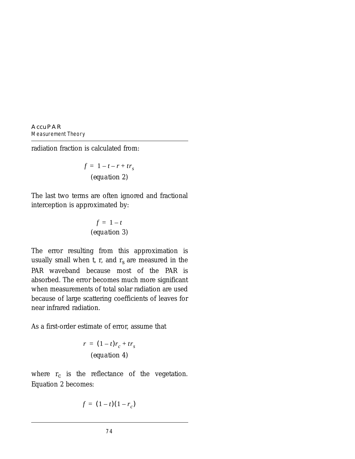radiation fraction is calculated from:

$$
f = 1 - t - r + trs
$$
  
(equation 2)

The last two terms are often ignored and fractional interception is approximated by:

$$
f = 1 - t
$$
  
(equation 3)

The error resulting from this approximation is usually small when  $t$ ,  $r$ , and  $r<sub>s</sub>$  are measured in the PAR waveband because most of the PAR is absorbed. The error becomes much more significant when measurements of total solar radiation are used because of large scattering coefficients of leaves for near infrared radiation.

As a first-order estimate of error, assume that

$$
r = (1 - t)r_c + tr_s
$$
  
(equation 4)

where  $r_c$  is the reflectance of the vegetation. Equation 2 becomes:

$$
f = (1-t)(1-r_c)
$$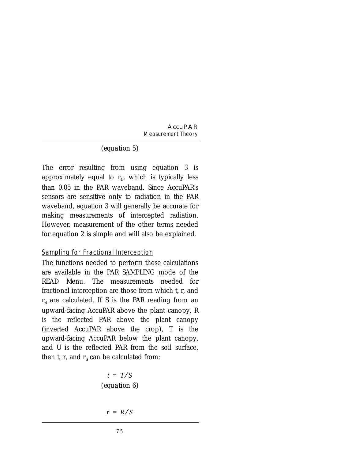#### *(equation 5)*

The error resulting from using equation 3 is approximately equal to  $r<sub>c</sub>$ , which is typically less than 0.05 in the PAR waveband. Since AccuPAR's sensors are sensitive only to radiation in the PAR waveband, equation 3 will generally be accurate for making measurements of intercepted radiation. However, measurement of the other terms needed for equation 2 is simple and will also be explained.

#### Sampling for Fractional Interception

The functions needed to perform these calculations are available in the PAR SAMPLING mode of the READ Menu. The measurements needed for fractional interception are those from which *t*, *r*, and *rs* are calculated. If *S* is the PAR reading from an upward-facing AccuPAR above the plant canopy, *R* is the reflected PAR above the plant canopy (inverted AccuPAR above the crop), *T* is the upward-facing AccuPAR below the plant canopy, and *U* is the reflected PAR from the soil surface, then  $t$ ,  $r$ , and  $r_s$  can be calculated from:

$$
t = T/S
$$
  
(equation 6)

$$
r = R/S
$$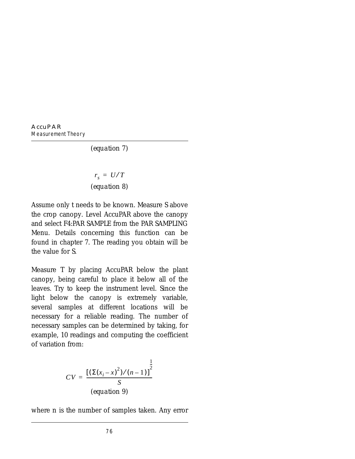#### *(equation 7)*

*(equation 8)*  $r_s = U/T$ 

Assume only *t* needs to be known. Measure *S* above the crop canopy. Level AccuPAR above the canopy and select F4:PAR SAMPLE from the PAR SAMPLING Menu. Details concerning this function can be found in chapter 7. The reading you obtain will be the value for *S*.

Measure *T* by placing AccuPAR below the plant canopy, being careful to place it below all of the leaves. Try to keep the instrument level. Since the light below the canopy is extremely variable, several samples at different locations will be necessary for a reliable reading. The number of necessary samples can be determined by taking, for example, 10 readings and computing the coefficient of variation from:

$$
CV = \frac{\left[ \left( \sum (x_i - x)^2 \right) / (n - 1) \right]^{\frac{1}{2}}}{S}
$$
\n(equation 9)

where *n* is the number of samples taken. Any error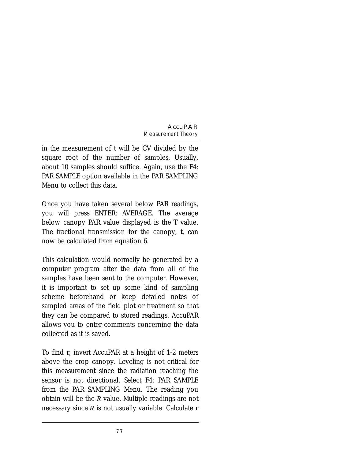in the measurement of *t* will be *CV* divided by the square root of the number of samples. Usually, about 10 samples should suffice. Again, use the F4: PAR SAMPLE option available in the PAR SAMPLING Menu to collect this data.

Once you have taken several below PAR readings, you will press ENTER: AVERAGE. The average below canopy PAR value displayed is the *T* value. The fractional transmission for the canopy, *t*, can now be calculated from equation 6.

This calculation would normally be generated by a computer program after the data from all of the samples have been sent to the computer. However, it is important to set up some kind of sampling scheme beforehand or keep detailed notes of sampled areas of the field plot or treatment so that they can be compared to stored readings. AccuPAR allows you to enter comments concerning the data collected as it is saved.

To find *r*, invert AccuPAR at a height of 1-2 meters above the crop canopy. Leveling is not critical for this measurement since the radiation reaching the sensor is not directional. Select F4: PAR SAMPLE from the PAR SAMPLING Menu. The reading you obtain will be the *R* value. Multiple readings are not necessary since *R* is not usually variable. Calculate *r*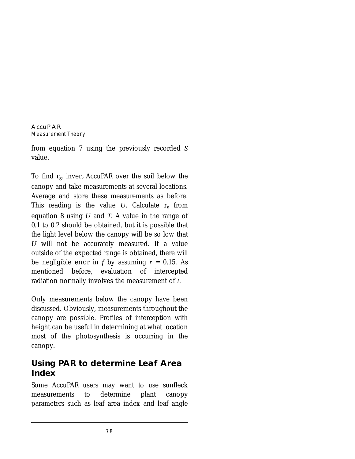from equation 7 using the previously recorded *S* value.

To find *rs*, invert AccuPAR over the soil below the canopy and take measurements at several locations. Average and store these measurements as before. This reading is the value  $U$ . Calculate  $r_s$  from equation 8 using *U* and *T*. A value in the range of 0.1 to 0.2 should be obtained, but it is possible that the light level below the canopy will be so low that *U* will not be accurately measured. If a value outside of the expected range is obtained, there will be negligible error in  $f$  by assuming  $r = 0.15$ . As mentioned before, evaluation of intercepted radiation normally involves the measurement of *t*.

Only measurements below the canopy have been discussed. Obviously, measurements throughout the canopy are possible. Profiles of interception with height can be useful in determining at what location most of the photosynthesis is occurring in the canopy.

# **Using PAR to determine Leaf Area Index**

Some AccuPAR users may want to use sunfleck measurements to determine plant canopy parameters such as leaf area index and leaf angle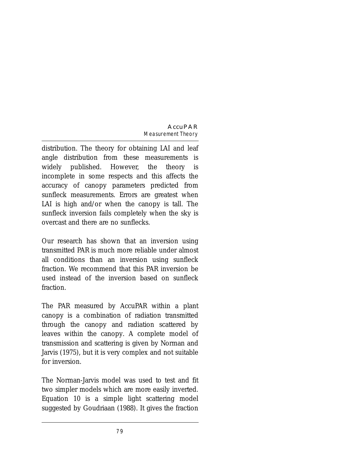distribution. The theory for obtaining LAI and leaf angle distribution from these measurements is widely published. However, the theory is incomplete in some respects and this affects the accuracy of canopy parameters predicted from sunfleck measurements. Errors are greatest when LAI is high and/or when the canopy is tall. The sunfleck inversion fails completely when the sky is overcast and there are no sunflecks.

Our research has shown that an inversion using transmitted PAR is much more reliable under almost all conditions than an inversion using sunfleck fraction. We recommend that this PAR inversion be used instead of the inversion based on sunfleck fraction.

The PAR measured by AccuPAR within a plant canopy is a combination of radiation transmitted through the canopy and radiation scattered by leaves within the canopy. A complete model of transmission and scattering is given by Norman and Jarvis (1975), but it is very complex and not suitable for inversion.

The Norman-Jarvis model was used to test and fit two simpler models which are more easily inverted. Equation 10 is a simple light scattering model suggested by Goudriaan (1988). It gives the fraction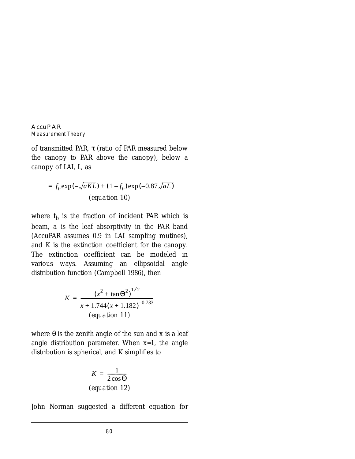of transmitted PAR, τ (ratio of PAR measured below the canopy to PAR above the canopy), below a canopy of LAI, L, as

$$
= f_b \exp(-\sqrt{aKL}) + (1 - f_b) \exp(-0.87 \sqrt{aL})
$$
  
(equation 10)

where  $f_b$  is the fraction of incident PAR which is beam, *a* is the leaf absorptivity in the PAR band (AccuPAR assumes 0.9 in LAI sampling routines), and *K* is the extinction coefficient for the canopy. The extinction coefficient can be modeled in various ways. Assuming an ellipsoidal angle distribution function (Campbell 1986), then

$$
K = \frac{\left(x^2 + \tan \Theta^2\right)^{1/2}}{x + 1.744\left(x + 1.182\right)^{-0.733}}
$$
\n
$$
(equation 11)
$$

where  $\theta$  is the zenith angle of the sun and *x* is a leaf angle distribution parameter. When *x*=1, the angle distribution is spherical, and *K* simplifies to

$$
K = \frac{1}{2\cos\Theta}
$$
  
(equation 12)

John Norman suggested a different equation for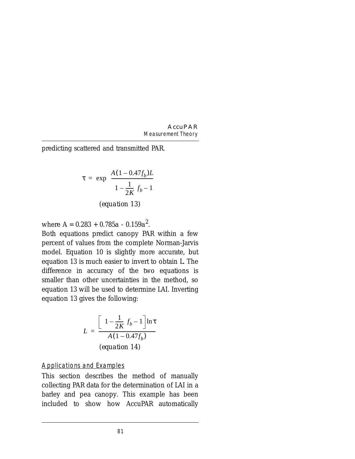predicting scattered and transmitted PAR.

$$
\tau = \exp\left\{\frac{A(1 - 0.47f_b)L}{\left(1 - \frac{1}{2K}\right)f_b - 1}\right\}
$$
\n(equation 13)

where *A* = 0.283 + 0.785*a* - 0.159*a*<sup>2</sup> .

Both equations predict canopy PAR within a few percent of values from the complete Norman-Jarvis model. Equation 10 is slightly more accurate, but equation 13 is much easier to invert to obtain *L*. The difference in accuracy of the two equations is smaller than other uncertainties in the method, so equation 13 will be used to determine LAI. Inverting equation 13 gives the following:

$$
L = \frac{\left[ \left( 1 - \frac{1}{2K} \right) f_b - 1 \right] \ln \tau}{A (1 - 0.47 f_b)}
$$
\n
$$
(equation 14)
$$

Applications and Examples

This section describes the method of manually collecting PAR data for the determination of LAI in a barley and pea canopy. This example has been included to show how AccuPAR automatically

81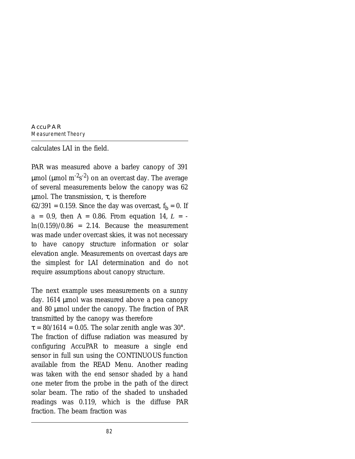calculates LAI in the field.

PAR was measured above a barley canopy of 391  $\mu$ mol ( $\mu$ mol m $^{-2}$ s $^{-2}$ ) on an overcast day. The average of several measurements below the canopy was 62  $μ$ mol. The transmission, τ, is therefore 62/391 = 0.159. Since the day was overcast,  $f_b = 0$ . If  $a = 0.9$ , then  $A = 0.86$ . From equation 14,  $L =$  $ln(0.159)/0.86$  = 2.14. Because the measurement was made under overcast skies, it was not necessary to have canopy structure information or solar elevation angle. Measurements on overcast days are the simplest for LAI determination and do not require assumptions about canopy structure.

The next example uses measurements on a sunny day. 1614 µmol was measured above a pea canopy and 80 µmol under the canopy. The fraction of PAR transmitted by the canopy was therefore

 $\tau = 80/1614 = 0.05$ . The solar zenith angle was 30°. The fraction of diffuse radiation was measured by configuring AccuPAR to measure a single end sensor in full sun using the CONTINUOUS function available from the READ Menu. Another reading was taken with the end sensor shaded by a hand one meter from the probe in the path of the direct solar beam. The ratio of the shaded to unshaded readings was 0.119, which is the diffuse PAR fraction. The beam fraction was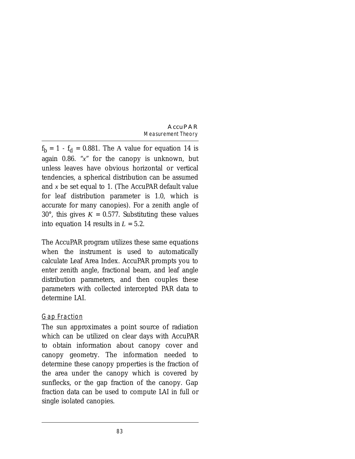$f_b = 1 - f_d = 0.881$ . The A value for equation 14 is again 0.86. "*x*" for the canopy is unknown, but unless leaves have obvious horizontal or vertical tendencies, a spherical distribution can be assumed and *x* be set equal to 1. (The AccuPAR default value for leaf distribution parameter is 1.0, which is accurate for many canopies). For a zenith angle of 30°, this gives  $K = 0.577$ . Substituting these values into equation 14 results in  $L = 5.2$ .

The AccuPAR program utilizes these same equations when the instrument is used to automatically calculate Leaf Area Index. AccuPAR prompts you to enter zenith angle, fractional beam, and leaf angle distribution parameters, and then couples these parameters with collected intercepted PAR data to determine LAI.

#### Gap Fraction

The sun approximates a point source of radiation which can be utilized on clear days with AccuPAR to obtain information about canopy cover and canopy geometry. The information needed to determine these canopy properties is the fraction of the area under the canopy which is covered by sunflecks, or the gap fraction of the canopy. Gap fraction data can be used to compute LAI in full or single isolated canopies.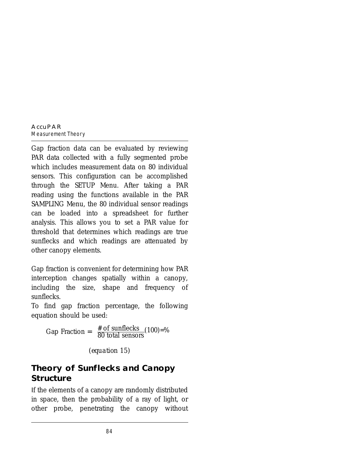Gap fraction data can be evaluated by reviewing PAR data collected with a fully segmented probe which includes measurement data on 80 individual sensors. This configuration can be accomplished through the SETUP Menu. After taking a PAR reading using the functions available in the PAR SAMPLING Menu, the 80 individual sensor readings can be loaded into a spreadsheet for further analysis. This allows you to set a PAR value for threshold that determines which readings are true sunflecks and which readings are attenuated by other canopy elements.

Gap fraction is convenient for determining how PAR interception changes spatially within a canopy, including the size, shape and frequency of sunflecks.

To find gap fraction percentage, the following equation should be used:

Gap Fraction =  $\frac{\text{\# of sunflecks}}{\text{80 total sensors}}(100)=\%$ 

*(equation 15)*

## **Theory of Sunflecks and Canopy Structure**

If the elements of a canopy are randomly distributed in space, then the probability of a ray of light, or other probe, penetrating the canopy without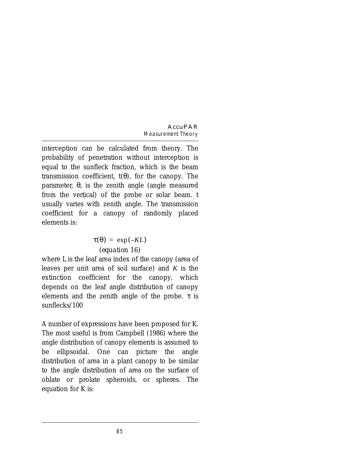interception can be calculated from theory. The probability of penetration without interception is equal to the sunfleck fraction, which is the beam transmission coefficient, *t*(θ), for the canopy. The parameter, θ, is the zenith angle (angle measured from the vertical) of the probe or solar beam. *t* usually varies with zenith angle. The transmission coefficient for a canopy of randomly placed elements is:

#### *(equation 16)*  $\tau(\theta) = \exp(-KL)$

where L is the leaf area index of the canopy (area of leaves per unit area of soil surface) and *K* is the extinction coefficient for the canopy, which depends on the leaf angle distribution of canopy elements and the zenith angle of the probe.  $\tau$  is sunflecks/100

A number of expressions have been proposed for *K*. The most useful is from Campbell (1986) where the angle distribution of canopy elements is assumed to be ellipsoidal. One can picture the angle distribution of area in a plant canopy to be similar to the angle distribution of area on the surface of oblate or prolate spheroids, or spheres. The equation for *K* is: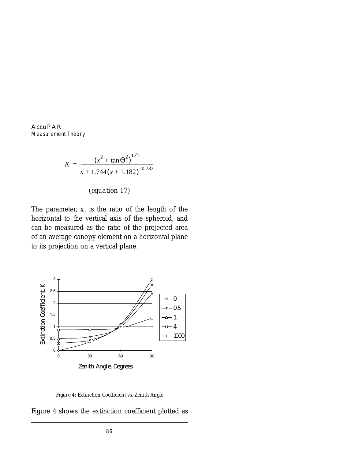$$
K = \frac{\left(x^2 + \tan \Theta^2\right)^{1/2}}{x + 1.744\left(x + 1.182\right)^{-0.733}}
$$

*(equation 17)*

The parameter, *x*, is the ratio of the length of the horizontal to the vertical axis of the spheroid, and can be measured as the ratio of the projected area of an average canopy element on a horizontal plane to its projection on a vertical plane.



*Figure 4: Extinction Coefficient vs. Zenith Angle*

Figure 4 shows the extinction coefficient plotted as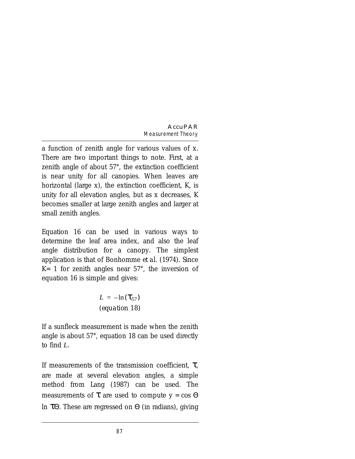a function of zenith angle for various values of *x*. There are two important things to note. First, at a zenith angle of about 57°, the extinction coefficient is near unity for all canopies. When leaves are horizontal (large *x*), the extinction coefficient, *K*, is unity for all elevation angles, but as *x* decreases, *K* becomes smaller at large zenith angles and larger at small zenith angles.

Equation 16 can be used in various ways to determine the leaf area index, and also the leaf angle distribution for a canopy. The simplest application is that of Bonhomme *et al.* (1974). Since *K*= 1 for zenith angles near 57°, the inversion of equation 16 is simple and gives:

> *(equation 18) L* =  $-\ln(\tau_{57})$

If a sunfleck measurement is made when the zenith angle is about 57°, equation 18 can be used directly to find *L*.

If measurements of the transmission coefficient,  $\tau$ , are made at several elevation angles, a simple method from Lang (1987) can be used. The measurements of  $\tau$  are used to compute  $y = cos \Theta$ *ln* τΘ. These are regressed on Θ (in radians), giving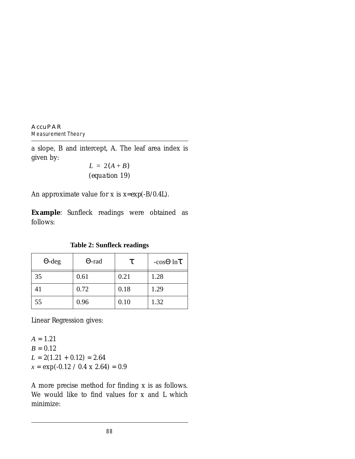a slope, *B* and intercept, *A*. The leaf area index is given by:

$$
L = 2(A + B)
$$
  
(equation 19)

An approximate value for *x* is *x*=*exp*(-B/0.4L).

**Example**: Sunfleck readings were obtained as follows:

**Table 2: Sunfleck readings**

| $\Theta$ -deg | $\Theta$ -rad | τ    | $-cos\Theta$ ln $\tau$ |
|---------------|---------------|------|------------------------|
| 35            | 0.61          | 0.21 | 1.28                   |
| 41            | 0.72          | 0.18 | 1.29                   |
| 55            | 0.96          | 0.10 | 1.32                   |

Linear Regression gives:

 $A = 1.21$  $B = 0.12$  $L = 2(1.21 + 0.12) = 2.64$  $x = \exp(-0.12 / 0.4 \times 2.64) = 0.9$ 

A more precise method for finding *x* is as follows. We would like to find values for *x* and *L* which minimize: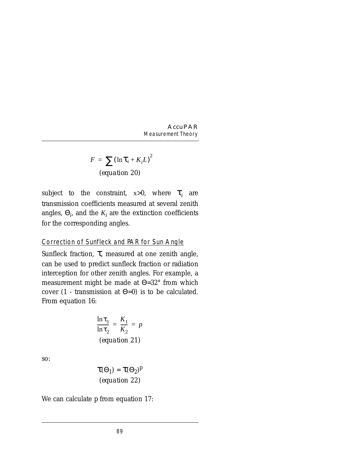$$
F = \sum (\ln \tau_i + K_i L)^2
$$
  
(equation 20)

subject to the constraint,  $x>0$ , where  $\tau_i$  are transmission coefficients measured at several zenith angles,  $\Theta_i$ , and the  $K_i$  are the extinction coefficients for the corresponding angles.

#### Correction of Sunfleck and PAR for Sun Angle

Sunfleck fraction, τ, measured at one zenith angle, can be used to predict sunfleck fraction or radiation interception for other zenith angles. For example, a measurement might be made at Θ=32° from which cover (1 - transmission at  $\Theta$ =0) is to be calculated. From equation 16:

$$
\frac{\ln \tau_1}{\ln \tau_2} = \frac{K_1}{K_2} = p
$$
  
(equation 21)

so:

$$
\tau(\Theta_1) = \tau(\Theta_2)^p
$$
  
(equation 22)

We can calculate *p* from equation 17: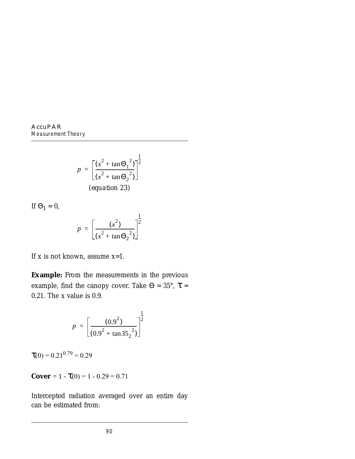$$
p = \left[\frac{(x^2 + \tan \Theta_1^2)}{(x^2 + \tan \Theta_2^2)}\right]^{\frac{1}{2}}
$$
  
(equation 23)

If  $\Theta_1 = 0$ ,

$$
p = \left[\frac{(x^2)}{(x^2 + \tan \Theta_2)^2}\right]^{\frac{1}{2}}
$$

If *x* is not known, assume *x*=1.

**Example:** From the measurements in the previous example, find the canopy cover. Take  $\Theta = 35^{\circ}$ ,  $\tau =$ 0.21. The x value is 0.9.

$$
p = \left[\frac{(0.9^{2})}{(0.9^{2} + \tan 35_{2}^{2})}\right]^{\frac{1}{2}}
$$

 $\tau(0) = 0.21^{0.79} = 0.29$ 

**Cover** = 1 -  $\tau(0) = 1 - 0.29 = 0.71$ 

Intercepted radiation averaged over an entire day can be estimated from: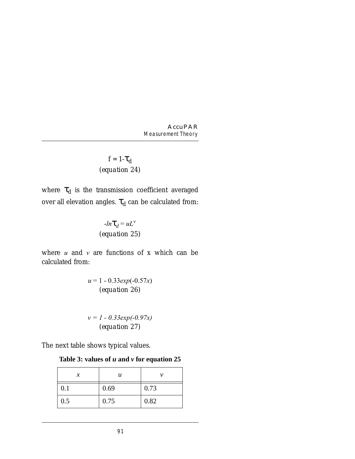$$
f = 1 - \tau_d
$$
  
(equation 24)

where  $\tau_d$  is the transmission coefficient averaged over all elevation angles.  $\tau_d$  can be calculated from:

$$
-ln\tau_d = uL^v
$$
  
(equation 25)

where  $u$  and  $v$  are functions of  $x$  which can be calculated from:

> *u* = 1 - 0.33*exp*(-0.57*x*) *(equation 26)*

> *v = 1 - 0.33exp(-0.97x) (equation 27)*

The next table shows typical values.

**Table 3: values of** *u* **and** *v* **for equation 25**

| х   | u    |      |
|-----|------|------|
| 0.1 | 0.69 | 0.73 |
| 0.5 | 0.75 | 0.82 |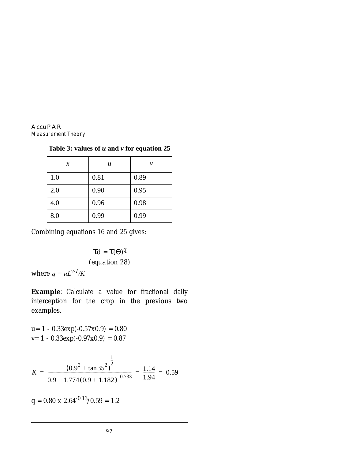| $\chi$ | u    | ν    |
|--------|------|------|
| 1.0    | 0.81 | 0.89 |
| 2.0    | 0.90 | 0.95 |
| 4.0    | 0.96 | 0.98 |
| 8.0    | 0.99 | 0.99 |

**Table 3: values of** *u* **and** *v* **for equation 25**

Combining equations 16 and 25 gives:

τ*d* = τ(Θ) *q (equation 28)*

where  $q = uL^{\nu-1}/K$ 

**Example**: Calculate a value for fractional daily interception for the crop in the previous two examples.

$$
u= 1 - 0.33 \exp(-0.57 \times 0.9) = 0.80
$$
  

$$
v= 1 - 0.33 \exp(-0.97 \times 0.9) = 0.87
$$

$$
K = \frac{(0.9^{2} + \tan 35^{2})^{\frac{1}{2}}}{0.9 + 1.774(0.9 + 1.182)^{-0.733}} = \frac{1.14}{1.94} = 0.59
$$

 $q = 0.80 \times 2.64^{-0.13}/0.59 = 1.2$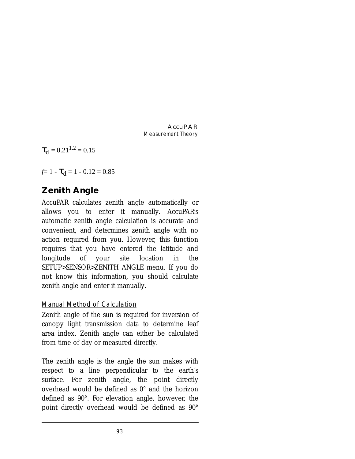$\tau_d = 0.21^{1.2} = 0.15$ 

 $f=1- \mathcal{L}_d = 1 - 0.12 = 0.85$ 

# **Zenith Angle**

AccuPAR calculates zenith angle automatically or allows you to enter it manually. AccuPAR's automatic zenith angle calculation is accurate and convenient, and determines zenith angle with no action required from you. However, this function requires that you have entered the latitude and longitude of your site location in the SETUP>SENSOR>ZENITH ANGLE menu. If you do not know this information, you should calculate zenith angle and enter it manually.

#### Manual Method of Calculation

Zenith angle of the sun is required for inversion of canopy light transmission data to determine leaf area index. Zenith angle can either be calculated from time of day or measured directly.

The zenith angle is the angle the sun makes with respect to a line perpendicular to the earth's surface. For zenith angle, the point directly overhead would be defined as 0° and the horizon defined as 90°. For elevation angle, however, the point directly overhead would be defined as 90°

93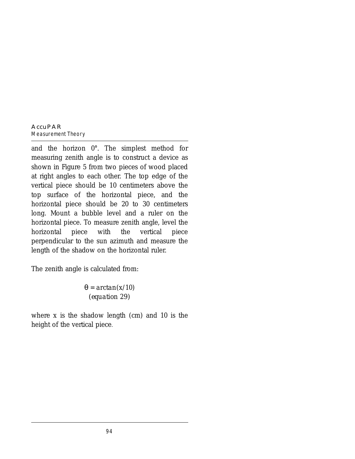#### **AccuPAR** *Measurement Theory*

and the horizon 0°. The simplest method for measuring zenith angle is to construct a device as shown in Figure 5 from two pieces of wood placed at right angles to each other. The top edge of the vertical piece should be 10 centimeters above the top surface of the horizontal piece, and the horizontal piece should be 20 to 30 centimeters long. Mount a bubble level and a ruler on the horizontal piece. To measure zenith angle, level the horizontal piece with the vertical piece perpendicular to the sun azimuth and measure the length of the shadow on the horizontal ruler.

The zenith angle is calculated from:

θ = *arctan*(*x*/10) *(equation 29)*

where  $x$  is the shadow length (cm) and 10 is the height of the vertical piece.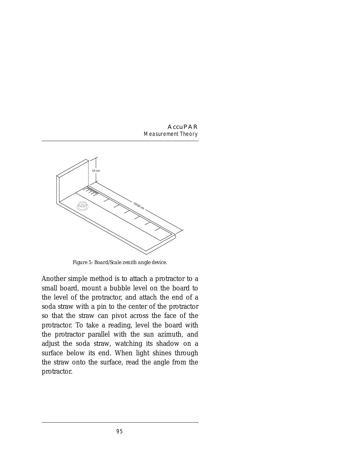

*Figure 5: Board/Scale zenith angle device.*

Another simple method is to attach a protractor to a small board, mount a bubble level on the board to the level of the protractor, and attach the end of a soda straw with a pin to the center of the protractor so that the straw can pivot across the face of the protractor. To take a reading, level the board with the protractor parallel with the sun azimuth, and adjust the soda straw, watching its shadow on a surface below its end. When light shines through the straw onto the surface, read the angle from the protractor.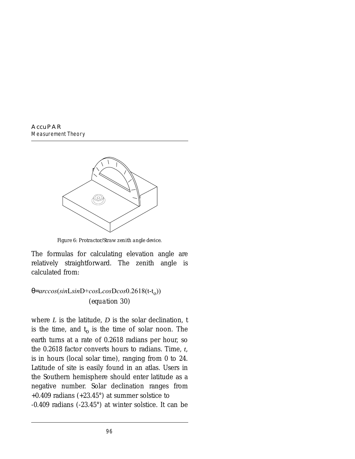

*Figure 6: Protractor/Straw zenith angle device.*

The formulas for calculating elevation angle are relatively straightforward. The zenith angle is calculated from:

### θ=*arccos*(*sin*L*sin*D+*cos*L*cos*D*cos*0.2618(t-to)) *(equation 30)*

where *L* is the latitude, *D* is the solar declination, *t* is the time, and  $t<sub>o</sub>$  is the time of solar noon. The earth turns at a rate of 0.2618 radians per hour, so the 0.2618 factor converts hours to radians. Time, *t*, is in hours (local solar time), ranging from 0 to 24. Latitude of site is easily found in an atlas. Users in the Southern hemisphere should enter latitude as a negative number. Solar declination ranges from  $+0.409$  radians  $(+23.45^{\circ})$  at summer solstice to -0.409 radians (-23.45°) at winter solstice. It can be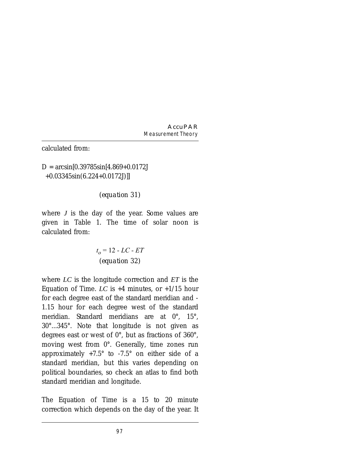calculated from:

### $D = \arcsin[0.39785\sin[4.869+0.0172]$ +0.03345sin(6.224+0.0172J)]]

### *(equation 31)*

where *J* is the day of the year. Some values are given in Table 1. The time of solar noon is calculated from:

$$
t_o = 12 - LC - ET
$$
  
(equation 32)

where *LC* is the longitude correction and *ET* is the Equation of Time. *LC* is  $+4$  minutes, or  $+1/15$  hour for each degree east of the standard meridian and - 1.15 hour for each degree west of the standard meridian. Standard meridians are at 0°, 15°, 30°...345°. Note that longitude is not given as degrees east or west of 0°, but as fractions of 360°, moving west from 0°. Generally, time zones run approximately +7.5° to -7.5° on either side of a standard meridian, but this varies depending on political boundaries, so check an atlas to find both standard meridian and longitude.

The Equation of Time is a 15 to 20 minute correction which depends on the day of the year. It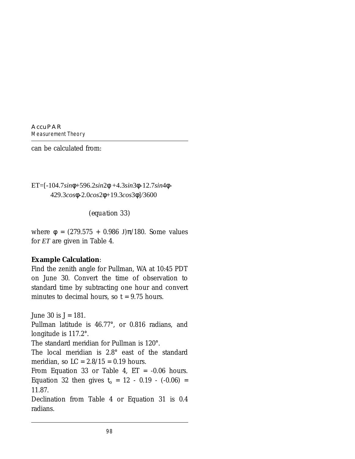can be calculated from:

ET=[-104.7*sin*φ+596.2*sin*2φ +4.3*sin*3φ-12.7*sin*4φ-429.3*cos*φ-2.0*cos*2φ+19.3*cos*3φ]/3600

*(equation 33)*

where  $\phi = (279.575 + 0.986 \text{ J})\pi/180$ . Some values for *ET* are given in Table 4.

#### **Example Calculation**:

Find the zenith angle for Pullman, WA at 10:45 PDT on June 30. Convert the time of observation to standard time by subtracting one hour and convert minutes to decimal hours, so  $t = 9.75$  hours.

June 30 is *J* = 181. Pullman latitude is 46.77°, or 0.816 radians, and longitude is 117.2°.

The standard meridian for Pullman is 120°.

The local meridian is 2.8° east of the standard meridian, so  $LC = 2.8/15 = 0.19$  hours.

From Equation 33 or Table 4, *ET* = -0.06 hours. Equation 32 then gives  $t_0 = 12 - 0.19 - (-0.06) =$ 11.87.

Declination from Table 4 or Equation 31 is 0.4 radians.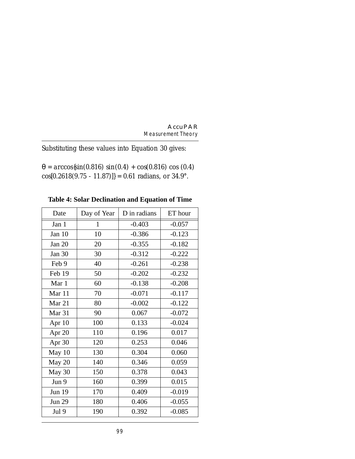Substituting these values into Equation 30 gives:

θ = *arccos*{sin(0.816) *sin*(0.4) + *cos*(0.816) *cos* (0.4)  $cos[0.2618(9.75 - 11.87)] = 0.61$  radians, or 34.9°.

**Table 4: Solar Declination and Equation of Time**

| Date          | Day of Year  | D in radians | ET hour  |
|---------------|--------------|--------------|----------|
| Jan 1         | $\mathbf{1}$ | $-0.403$     | $-0.057$ |
| Jan 10        | 10           | $-0.386$     | $-0.123$ |
| Jan $20$      | 20           | $-0.355$     | $-0.182$ |
| Jan 30        | 30           | $-0.312$     | $-0.222$ |
| Feb 9         | 40           | $-0.261$     | $-0.238$ |
| Feb 19        | 50           | $-0.202$     | $-0.232$ |
| Mar 1         | 60           | $-0.138$     | $-0.208$ |
| Mar 11        | 70           | $-0.071$     | $-0.117$ |
| Mar 21        | 80           | $-0.002$     | $-0.122$ |
| Mar 31        | 90           | 0.067        | $-0.072$ |
| Apr 10        | 100          | 0.133        | $-0.024$ |
| Apr 20        | 110          | 0.196        | 0.017    |
| Apr 30        | 120          | 0.253        | 0.046    |
| May 10        | 130          | 0.304        | 0.060    |
| May 20        | 140          | 0.346        | 0.059    |
| May 30        | 150          | 0.378        | 0.043    |
| Jun 9         | 160          | 0.399        | 0.015    |
| <b>Jun 19</b> | 170          | 0.409        | $-0.019$ |
| <b>Jun 29</b> | 180          | 0.406        | $-0.055$ |
| Jul 9         | 190          | 0.392        | $-0.085$ |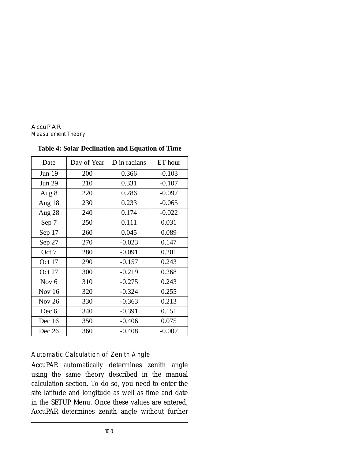| Date             | Day of Year | D in radians | ET hour  |
|------------------|-------------|--------------|----------|
| Jun 19           | 200         | 0.366        | $-0.103$ |
| <b>Jun 29</b>    | 210         | 0.331        | $-0.107$ |
| Aug 8            | 220         | 0.286        | $-0.097$ |
| Aug 18           | 230         | 0.233        | $-0.065$ |
| Aug 28           | 240         | 0.174        | $-0.022$ |
| Sep 7            | 250         | 0.111        | 0.031    |
| Sep 17           | 260         | 0.045        | 0.089    |
| Sep 27           | 270         | $-0.023$     | 0.147    |
| Oct 7            | 280         | $-0.091$     | 0.201    |
| Oct 17           | 290         | $-0.157$     | 0.243    |
| Oct 27           | 300         | $-0.219$     | 0.268    |
| Nov <sub>6</sub> | 310         | $-0.275$     | 0.243    |
| Nov 16           | 320         | $-0.324$     | 0.255    |
| <b>Nov 26</b>    | 330         | $-0.363$     | 0.213    |
| Dec 6            | 340         | $-0.391$     | 0.151    |
| Dec 16           | 350         | $-0.406$     | 0.075    |
| Dec 26           | 360         | $-0.408$     | $-0.007$ |

#### **Table 4: Solar Declination and Equation of Time**

#### Automatic Calculation of Zenith Angle

AccuPAR automatically determines zenith angle using the same theory described in the manual calculation section. To do so, you need to enter the site latitude and longitude as well as time and date in the SETUP Menu. Once these values are entered, AccuPAR determines zenith angle without further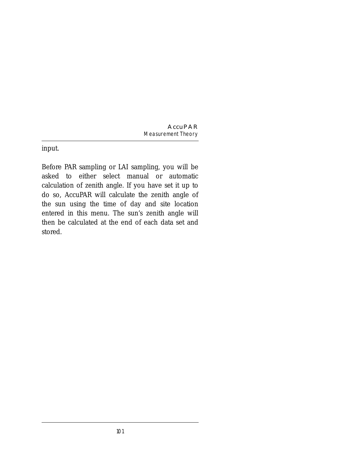input.

Before PAR sampling or LAI sampling, you will be asked to either select manual or automatic calculation of zenith angle. If you have set it up to do so, AccuPAR will calculate the zenith angle of the sun using the time of day and site location entered in this menu. The sun's zenith angle will then be calculated at the end of each data set and stored.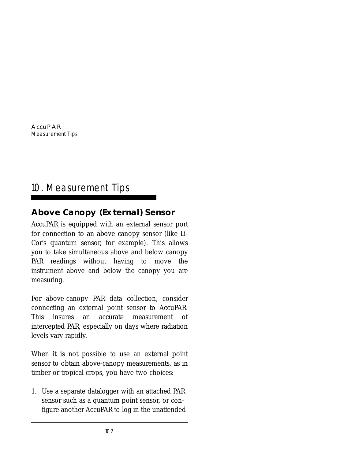# 10. Measurement Tips

### **Above Canopy (External) Sensor**

AccuPAR is equipped with an external sensor port for connection to an above canopy sensor (like Li-Cor's quantum sensor, for example). This allows you to take simultaneous above and below canopy PAR readings without having to move the instrument above and below the canopy you are measuring.

For above-canopy PAR data collection, consider connecting an external point sensor to AccuPAR. This insures an accurate measurement of intercepted PAR, especially on days where radiation levels vary rapidly.

When it is not possible to use an external point sensor to obtain above-canopy measurements, as in timber or tropical crops, you have two choices:

1. Use a separate datalogger with an attached PAR sensor such as a quantum point sensor, or configure another AccuPAR to log in the unattended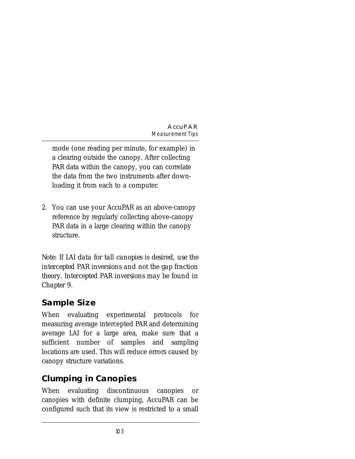mode (one reading per minute, for example) in a clearing outside the canopy. After collecting PAR data within the canopy, you can correlate the data from the two instruments after downloading it from each to a computer.

2. You can use your AccuPAR as an above-canopy reference by regularly collecting above-canopy PAR data in a large clearing within the canopy structure.

*Note: If LAI data for tall canopies is desired, use the intercepted PAR inversions and not the gap fraction theory. Intercepted PAR inversions may be found in Chapter 9.*

## **Sample Size**

When evaluating experimental protocols for measuring average intercepted PAR and determining average LAI for a large area, make sure that a sufficient number of samples and sampling locations are used. This will reduce errors caused by canopy structure variations.

## **Clumping in Canopies**

When evaluating discontinuous canopies or canopies with definite clumping, AccuPAR can be configured such that its view is restricted to a small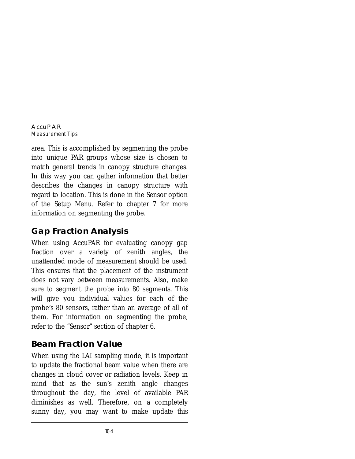area. This is accomplished by segmenting the probe into unique PAR groups whose size is chosen to match general trends in canopy structure changes. In this way you can gather information that better describes the changes in canopy structure with regard to location. This is done in the Sensor option of the Setup Menu. Refer to chapter 7 for more information on segmenting the probe.

## **Gap Fraction Analysis**

When using AccuPAR for evaluating canopy gap fraction over a variety of zenith angles, the unattended mode of measurement should be used. This ensures that the placement of the instrument does not vary between measurements. Also, make sure to segment the probe into 80 segments. This will give you individual values for each of the probe's 80 sensors, rather than an average of all of them. For information on segmenting the probe, refer to the "Sensor" section of chapter 6.

## **Beam Fraction Value**

When using the LAI sampling mode, it is important to update the fractional beam value when there are changes in cloud cover or radiation levels. Keep in mind that as the sun's zenith angle changes throughout the day, the level of available PAR diminishes as well. Therefore, on a completely sunny day, you may want to make update this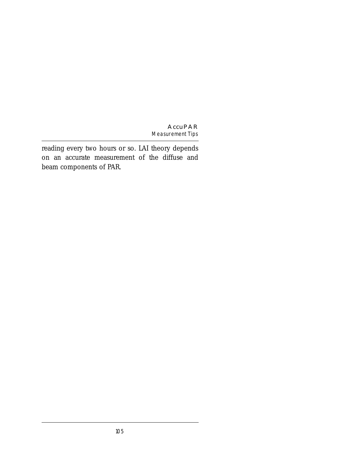reading every two hours or so. LAI theory depends on an accurate measurement of the diffuse and beam components of PAR.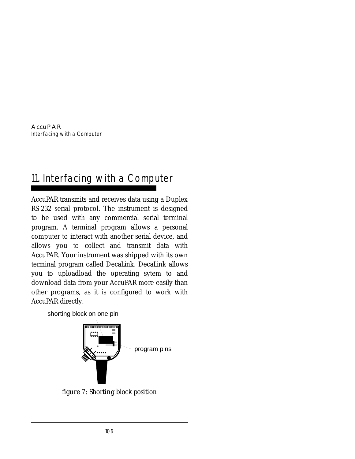# 11. Interfacing with a Computer

AccuPAR transmits and receives data using a Duplex RS-232 serial protocol. The instrument is designed to be used with any commercial serial terminal program. A terminal program allows a personal computer to interact with another serial device, and allows you to collect and transmit data with AccuPAR. Your instrument was shipped with its own terminal program called DecaLink. DecaLink allows you to uploadload the operating sytem to and download data from your AccuPAR more easily than other programs, as it is configured to work with AccuPAR directly.

shorting block on one pin



*figure 7: Shorting block position*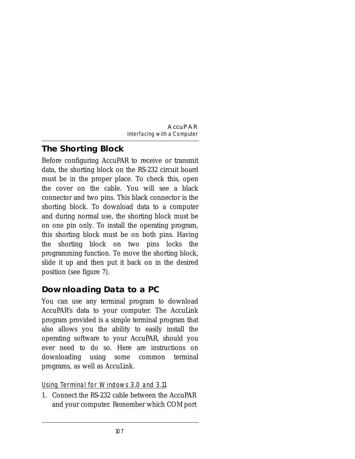## **The Shorting Block**

Before configuring AccuPAR to receive or transmit data, the shorting block on the RS-232 circuit board must be in the proper place. To check this, open the cover on the cable. You will see a black connector and two pins. This black connector is the shorting block. To download data to a computer and during normal use, the shorting block must be on one pin only. To install the operating program, this shorting block must be on both pins. Having the shorting block on two pins locks the programming function. To move the shorting block, slide it up and then put it back on in the desired position (see figure 7).

## **Downloading Data to a PC**

You can use any terminal program to download AccuPAR's data to your computer. The AccuLink program provided is a simple terminal program that also allows you the ability to easily install the operating software to your AccuPAR, should you ever need to do so. Here are instructions on downloading using some common terminal programs, as well as AccuLink.

### Using Terminal for Windows 3.0 and 3.11

1. Connect the RS-232 cable between the AccuPAR and your computer. Remember which COM port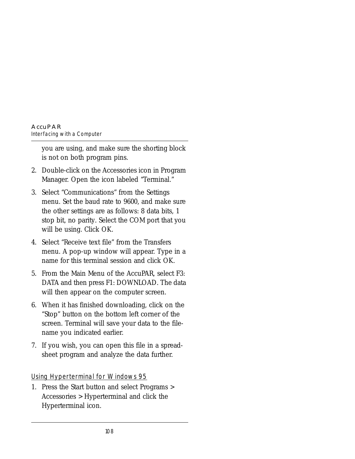you are using, and make sure the shorting block is not on both program pins.

- 2. Double-click on the Accessories icon in Program Manager. Open the icon labeled "Terminal."
- 3. Select "Communications" from the Settings menu. Set the baud rate to 9600, and make sure the other settings are as follows: 8 data bits, 1 stop bit, no parity. Select the COM port that you will be using. Click OK.
- 4. Select "Receive text file" from the Transfers menu. A pop-up window will appear. Type in a name for this terminal session and click OK.
- 5. From the Main Menu of the AccuPAR, select F3: DATA and then press F1: DOWNLOAD. The data will then appear on the computer screen.
- 6. When it has finished downloading, click on the "Stop" button on the bottom left corner of the screen. Terminal will save your data to the filename you indicated earlier.
- 7. If you wish, you can open this file in a spreadsheet program and analyze the data further.

Using Hyperterminal for Windows 95

1. Press the Start button and select Programs > Accessories > Hyperterminal and click the Hyperterminal icon.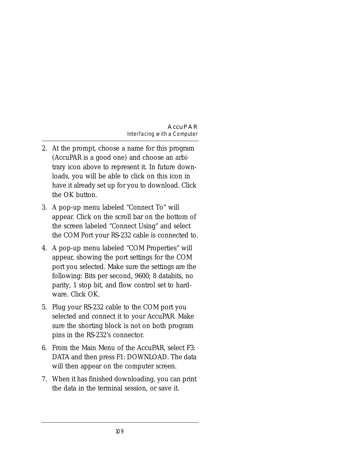- 2. At the prompt, choose a name for this program (AccuPAR is a good one) and choose an arbitrary icon above to represent it. In future downloads, you will be able to click on this icon in have it already set up for you to download. Click the OK button.
- 3. A pop-up menu labeled "Connect To" will appear. Click on the scroll bar on the bottom of the screen labeled "Connect Using" and select the COM Port your RS-232 cable is connected to.
- 4. A pop-up menu labeled "COM Properties" will appear, showing the port settings for the COM port you selected. Make sure the settings are the following: Bits per second, 9600; 8 databits, no parity, 1 stop bit, and flow control set to hardware. Click OK.
- 5. Plug your RS-232 cable to the COM port you selected and connect it to your AccuPAR. Make sure the shorting block is not on both program pins in the RS-232's connector.
- 6. From the Main Menu of the AccuPAR, select F3: DATA and then press F1: DOWNLOAD. The data will then appear on the computer screen.
- 7. When it has finished downloading, you can print the data in the terminal session, or save it.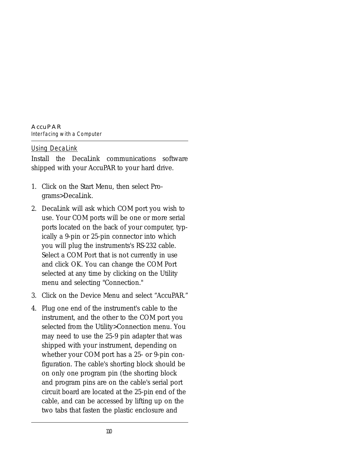#### **AccuPAR** *Interfacing with a Computer*

#### Using DecaLink

Install the DecaLink communications software shipped with your AccuPAR to your hard drive.

- 1. Click on the Start Menu, then select Programs>DecaLink.
- 2. DecaLink will ask which COM port you wish to use. Your COM ports will be one or more serial ports located on the back of your computer, typically a 9-pin or 25-pin connector into which you will plug the instruments's RS-232 cable. Select a COM Port that is not currently in use and click OK. You can change the COM Port selected at any time by clicking on the Utility menu and selecting "Connection."
- 3. Click on the Device Menu and select "AccuPAR."
- 4. Plug one end of the instrument's cable to the instrument, and the other to the COM port you selected from the Utility>Connection menu. You may need to use the 25-9 pin adapter that was shipped with your instrument, depending on whether your COM port has a 25- or 9-pin configuration. The cable's shorting block should be on only one program pin (the shorting block and program pins are on the cable's serial port circuit board are located at the 25-pin end of the cable, and can be accessed by lifting up on the two tabs that fasten the plastic enclosure and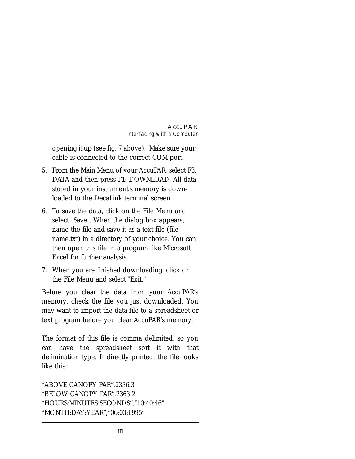opening it up (see fig. 7 above). Make sure your cable is connected to the correct COM port.

- 5. From the Main Menu of your AccuPAR, select F3: DATA and then press F1: DOWNLOAD. All data stored in your instrument's memory is downloaded to the DecaLink terminal screen.
- 6. To save the data, click on the File Menu and select "Save". When the dialog box appears, name the file and save it as a text file (filename.txt) in a directory of your choice. You can then open this file in a program like Microsoft Excel for further analysis.
- 7. When you are finished downloading, click on the File Menu and select "Exit."

Before you clear the data from your AccuPAR's memory, check the file you just downloaded. You may want to import the data file to a spreadsheet or text program before you clear AccuPAR's memory.

The format of this file is comma delimited, so you can have the spreadsheet sort it with that delimination type. If directly printed, the file looks like this:

```
"ABOVE CANOPY PAR",2336.3 
"BELOW CANOPY PAR",2363.2 
"HOURS:MINUTES:SECONDS","10:40:46" 
"MONTH:DAY:YEAR","06:03:1995"
```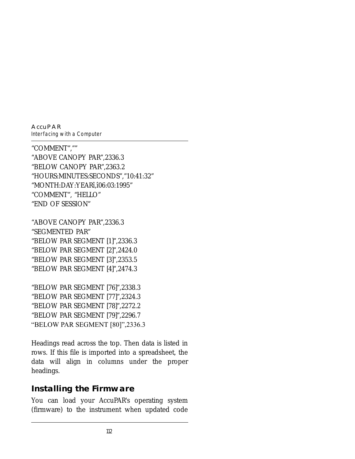**AccuPAR**

*Interfacing with a Computer*

"COMMENT","" "ABOVE CANOPY PAR",2336.3 "BELOW CANOPY PAR",2363.2 "HOURS:MINUTES:SECONDS","10:41:32" "MONTH:DAY:YEARî,î06:03:1995" "COMMENT", "HELLO" "END OF SESSION"

"ABOVE CANOPY PAR",2336.3 "SEGMENTED PAR" "BELOW PAR SEGMENT [1]",2336.3 "BELOW PAR SEGMENT [2]",2424.0 "BELOW PAR SEGMENT [3]",2353.5 "BELOW PAR SEGMENT [4]",2474.3

"BELOW PAR SEGMENT [76]",2338.3 "BELOW PAR SEGMENT [77]",2324.3 "BELOW PAR SEGMENT [78]",2272.2 "BELOW PAR SEGMENT [79]",2296.7 "BELOW PAR SEGMENT [80]",2336.3

Headings read across the top. Then data is listed in rows. If this file is imported into a spreadsheet, the data will align in columns under the proper headings.

## **Installing the Firmware**

You can load your AccuPAR's operating system (firmware) to the instrument when updated code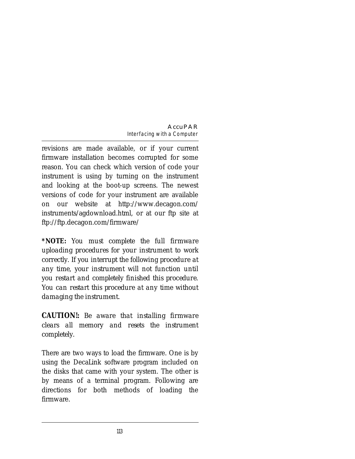revisions are made available, or if your current firmware installation becomes corrupted for some reason. You can check which version of code your instrument is using by turning on the instrument and looking at the boot-up screens. The newest versions of code for your instrument are available on our website at http://www.decagon.com/ instruments/agdownload.html, or at our ftp site at ftp://ftp.decagon.com/firmware/

*\*NOTE: You must complete the full firmware uploading procedures for your instrument to work correctly. If you interrupt the following procedure at any time, your instrument will not function until you restart and completely finished this procedure. You can restart this procedure at any time without damaging the instrument.*

*CAUTION!: Be aware that installing firmware clears all memory and resets the instrument completely.*

There are two ways to load the firmware. One is by using the DecaLink software program included on the disks that came with your system. The other is by means of a terminal program. Following are directions for both methods of loading the firmware.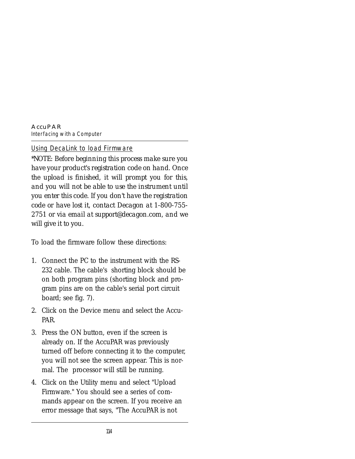**AccuPAR** *Interfacing with a Computer*

#### Using DecaLink to load Firmware

*\*NOTE: Before beginning this process make sure you have your product's registration code on hand. Once the upload is finished, it will prompt you for this, and you will not be able to use the instrument until you enter this code. If you don't have the registration code or have lost it, contact Decagon at 1-800-755- 2751 or via email at support@decagon.com, and we will give it to you.*

To load the firmware follow these directions:

- 1. Connect the PC to the instrument with the RS-232 cable. The cable's shorting block should be on both program pins (shorting block and program pins are on the cable's serial port circuit board; see fig. 7).
- 2. Click on the Device menu and select the Accu-PAR.
- 3. Press the ON button, even if the screen is already on. If the AccuPAR was previously turned off before connecting it to the computer, you will not see the screen appear. This is normal. The processor will still be running.
- 4. Click on the Utility menu and select "Upload Firmware." You should see a series of commands appear on the screen. If you receive an error message that says, "The AccuPAR is not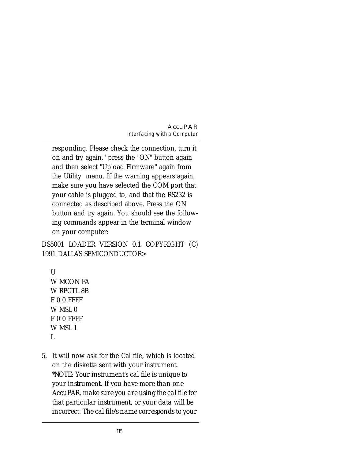responding. Please check the connection, turn it on and try again," press the "ON" button again and then select "Upload Firmware" again from the Utility menu. If the warning appears again, make sure you have selected the COM port that your cable is plugged to, and that the RS232 is connected as described above. Press the ON button and try again. You should see the following commands appear in the terminal window on your computer:

DS5001 LOADER VERSION 0.1 COPYRIGHT (C) 1991 DALLAS SEMICONDUCTOR>

```
U W MCON FA
W RPCTL 8B
 F 0 0 FFFF
W MSL 0
 F 0 0 FFFF
 W MSL 1
 L
```
5. It will now ask for the Cal file, which is located on the diskette sent with your instrument. *\*NOTE: Your instrument's cal file is unique to your instrument. If you have more than one AccuPAR, make sure you are using the cal file for that particular instrument, or your data will be incorrect. The cal file's name corresponds to your*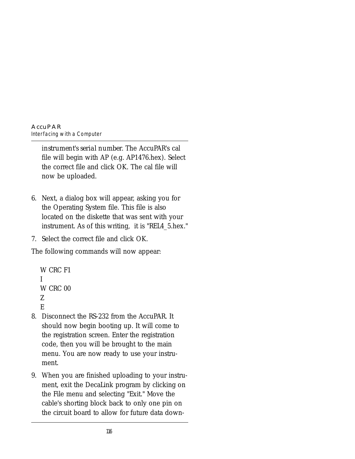*instrument's serial number.* The AccuPAR's cal file will begin with AP (e.g. AP1476.hex). Select the correct file and click OK. The cal file will now be uploaded.

- 6. Next, a dialog box will appear, asking you for the Operating System file. This file is also located on the diskette that was sent with your instrument. As of this writing, it is "REL4\_5.hex."
- 7. Select the correct file and click OK.

The following commands will now appear:

```
 W CRC F1
 I
W CRC 00
 Z
 E
```
- 8. Disconnect the RS-232 from the AccuPAR. It should now begin booting up. It will come to the registration screen. Enter the registration code, then you will be brought to the main menu. You are now ready to use your instrument.
- 9. When you are finished uploading to your instrument, exit the DecaLink program by clicking on the File menu and selecting "Exit." Move the cable's shorting block back to only one pin on the circuit board to allow for future data down-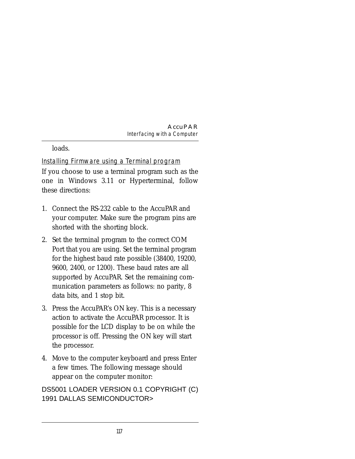loads.

Installing Firmware using a Terminal program If you choose to use a terminal program such as the one in Windows 3.11 or Hyperterminal, follow these directions:

- 1. Connect the RS-232 cable to the AccuPAR and your computer. Make sure the program pins are shorted with the shorting block.
- 2. Set the terminal program to the correct COM Port that you are using. Set the terminal program for the highest baud rate possible (38400, 19200, 9600, 2400, or 1200). These baud rates are all supported by AccuPAR. Set the remaining communication parameters as follows: no parity, 8 data bits, and 1 stop bit.
- 3. Press the AccuPAR's ON key. This is a necessary action to activate the AccuPAR processor. It is possible for the LCD display to be on while the processor is off. Pressing the ON key will start the processor.
- 4. Move to the computer keyboard and press Enter a few times. The following message should appear on the computer monitor:

DS5001 LOADER VERSION 0.1 COPYRIGHT (C) 1991 DALLAS SEMICONDUCTOR>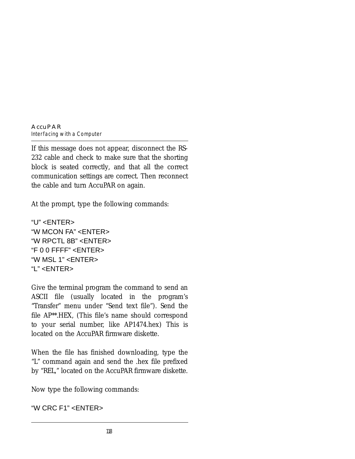If this message does not appear, disconnect the RS-232 cable and check to make sure that the shorting block is seated correctly, and that all the correct communication settings are correct. Then reconnect the cable and turn AccuPAR on again.

At the prompt, type the following commands:

```
"U" <ENTER>
"W MCON FA" <ENTER>
"W RPCTL 8B" <ENTER>
"F 0 0 FFFF" <ENTER>
"W MSL 1" <ENTER>
"L" <ENTER>
```
Give the terminal program the command to send an ASCII file (usually located in the program's "Transfer" menu under "Send text file"). Send the file AP\*\*.HEX, (This file's name should correspond to your serial number, like AP1474.hex) This is located on the AccuPAR firmware diskette.

When the file has finished downloading, type the "L" command again and send the .hex file prefixed by "REL," located on the AccuPAR firmware diskette.

Now type the following commands:

"W CRC F1" <ENTER>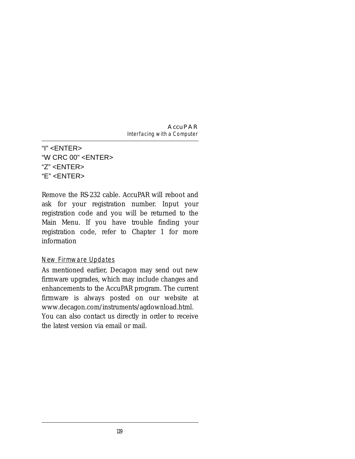"I" <ENTER> "W CRC  $00"$   $\leq$  FNTFR $>$ "Z" <ENTER> "E" <ENTER>

Remove the RS-232 cable. AccuPAR will reboot and ask for your registration number. Input your registration code and you will be returned to the Main Menu. If you have trouble finding your registration code, refer to Chapter 1 for more information

#### New Firmware Updates

As mentioned earlier, Decagon may send out new firmware upgrades, which may include changes and enhancements to the AccuPAR program. The current firmware is always posted on our website at www.decagon.com/instruments/agdownload.html. You can also contact us directly in order to receive the latest version via email or mail.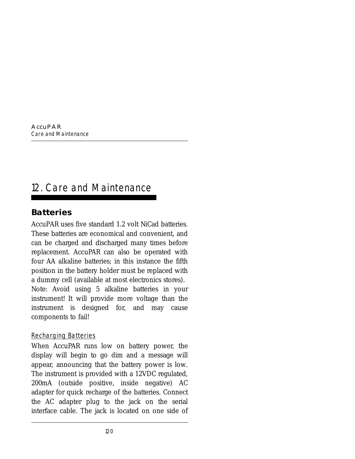# 12. Care and Maintenance

## **Batteries**

AccuPAR uses five standard 1.2 volt NiCad batteries. These batteries are economical and convenient, and can be charged and discharged many times before replacement. AccuPAR can also be operated with four AA alkaline batteries; in this instance the fifth position in the battery holder must be replaced with a dummy cell (available at most electronics stores). Note: Avoid using 5 alkaline batteries in your instrument! It will provide more voltage than the instrument is designed for, and may cause components to fail!

### Recharging Batteries

When AccuPAR runs low on battery power, the display will begin to go dim and a message will appear, announcing that the battery power is low. The instrument is provided with a 12VDC regulated, 200mA (outside positive, inside negative) AC adapter for quick recharge of the batteries. Connect the AC adapter plug to the jack on the serial interface cable. The jack is located on one side of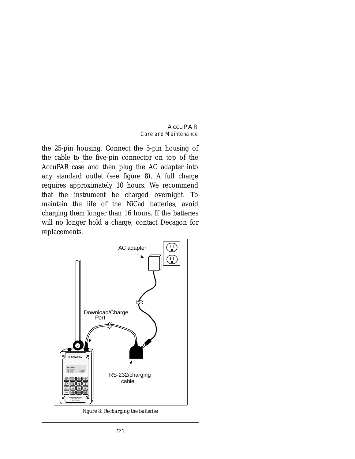the 25-pin housing. Connect the 5-pin housing of the cable to the five-pin connector on top of the AccuPAR case and then plug the AC adapter into any standard outlet (see figure 8). A full charge requires approximately 10 hours. We recommend that the instrument be charged overnight. To maintain the life of the NiCad batteries, avoid charging them longer than 16 hours. If the batteries will no longer hold a charge, contact Decagon for replacements.



*Figure 8: Recharging the batteries*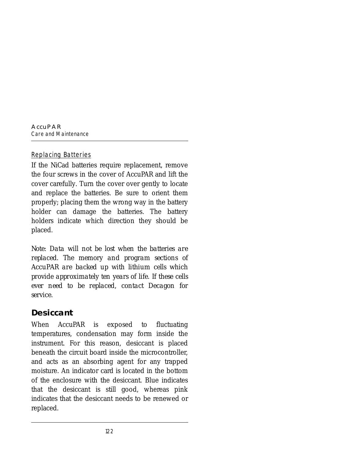### Replacing Batteries

If the NiCad batteries require replacement, remove the four screws in the cover of AccuPAR and lift the cover carefully. Turn the cover over gently to locate and replace the batteries. Be sure to orient them properly; placing them the wrong way in the battery holder can damage the batteries. The battery holders indicate which direction they should be placed.

*Note: Data will not be lost when the batteries are replaced. The memory and program sections of AccuPAR are backed up with lithium cells which provide approximately ten years of life. If these cells ever need to be replaced, contact Decagon for service.*

## **Desiccant**

When AccuPAR is exposed to fluctuating temperatures, condensation may form inside the instrument. For this reason, desiccant is placed beneath the circuit board inside the microcontroller, and acts as an absorbing agent for any trapped moisture. An indicator card is located in the bottom of the enclosure with the desiccant. Blue indicates that the desiccant is still good, whereas pink indicates that the desiccant needs to be renewed or replaced.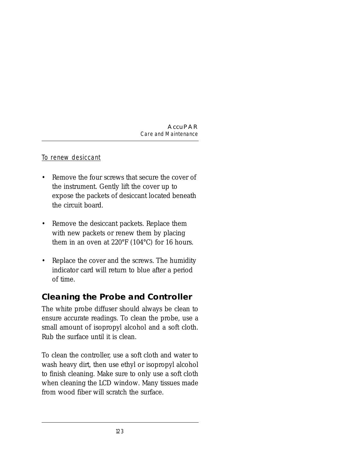To renew desiccant

- Remove the four screws that secure the cover of the instrument. Gently lift the cover up to expose the packets of desiccant located beneath the circuit board.
- Remove the desiccant packets. Replace them with new packets or renew them by placing them in an oven at 220°F (104°C) for 16 hours.
- Replace the cover and the screws. The humidity indicator card will return to blue after a period of time.

## **Cleaning the Probe and Controller**

The white probe diffuser should always be clean to ensure accurate readings. To clean the probe, use a small amount of isopropyl alcohol and a soft cloth. Rub the surface until it is clean.

To clean the controller, use a soft cloth and water to wash heavy dirt, then use ethyl or isopropyl alcohol to finish cleaning. Make sure to only use a soft cloth when cleaning the LCD window. Many tissues made from wood fiber will scratch the surface.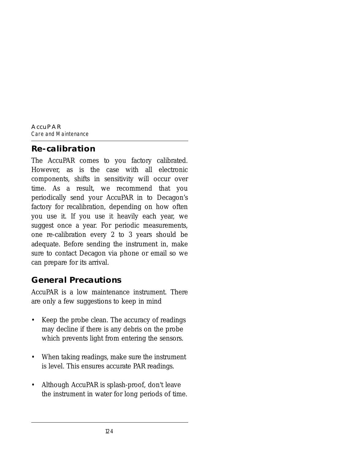## **Re-calibration**

The AccuPAR comes to you factory calibrated. However, as is the case with all electronic components, shifts in sensitivity will occur over time. As a result, we recommend that you periodically send your AccuPAR in to Decagon's factory for recalibration, depending on how often you use it. If you use it heavily each year, we suggest once a year. For periodic measurements, one re-calibration every 2 to 3 years should be adequate. Before sending the instrument in, make sure to contact Decagon via phone or email so we can prepare for its arrival.

## **General Precautions**

AccuPAR is a low maintenance instrument. There are only a few suggestions to keep in mind

- Keep the probe clean. The accuracy of readings may decline if there is any debris on the probe which prevents light from entering the sensors.
- When taking readings, make sure the instrument is level. This ensures accurate PAR readings.
- Although AccuPAR is splash-proof, don't leave the instrument in water for long periods of time.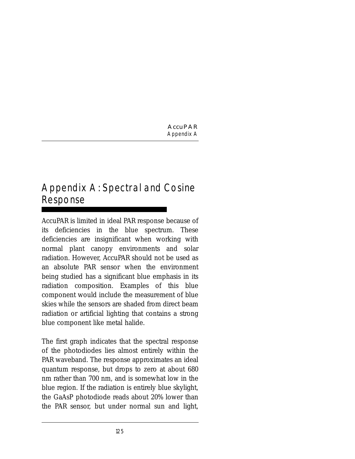# Appendix A: Spectral and Cosine Response

AccuPAR is limited in ideal PAR response because of its deficiencies in the blue spectrum. These deficiencies are insignificant when working with normal plant canopy environments and solar radiation. However, AccuPAR should not be used as an absolute PAR sensor when the environment being studied has a significant blue emphasis in its radiation composition. Examples of this blue component would include the measurement of blue skies while the sensors are shaded from direct beam radiation or artificial lighting that contains a strong blue component like metal halide.

The first graph indicates that the spectral response of the photodiodes lies almost entirely within the PAR waveband. The response approximates an ideal quantum response, but drops to zero at about 680 nm rather than 700 nm, and is somewhat low in the blue region. If the radiation is entirely blue skylight, the GaAsP photodiode reads about 20% lower than the PAR sensor, but under normal sun and light,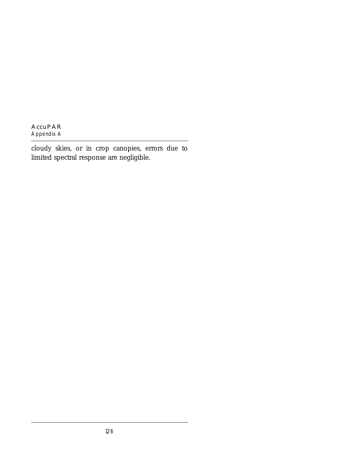cloudy skies, or in crop canopies, errors due to limited spectral response are negligible.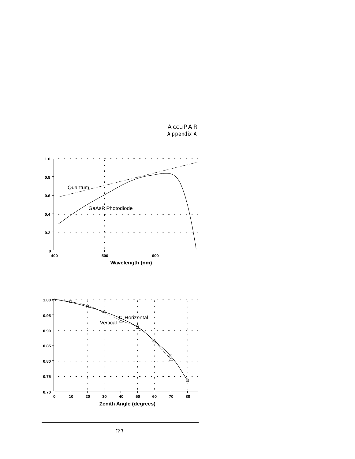

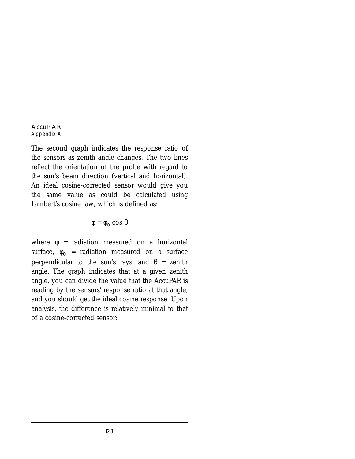The second graph indicates the response ratio of the sensors as zenith angle changes. The two lines reflect the orientation of the probe with regard to the sun's beam direction (vertical and horizontal). An ideal cosine-corrected sensor would give you the same value as could be calculated using Lambert's cosine law, which is defined as:

$$
\phi = \phi_{\rm O} \cos \theta
$$

where  $φ = radiation measured on a horizontal$ surface,  $\phi_0$  = radiation measured on a surface perpendicular to the sun's rays, and  $θ = zenith$ angle. The graph indicates that at a given zenith angle, you can divide the value that the AccuPAR is reading by the sensors' response ratio at that angle, and you should get the ideal cosine response. Upon analysis, the difference is relatively minimal to that of a cosine-corrected sensor: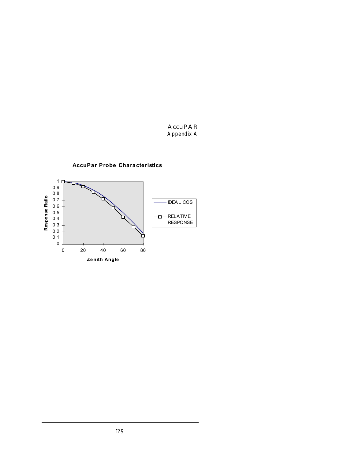

**AccuPar Probe Characteristics**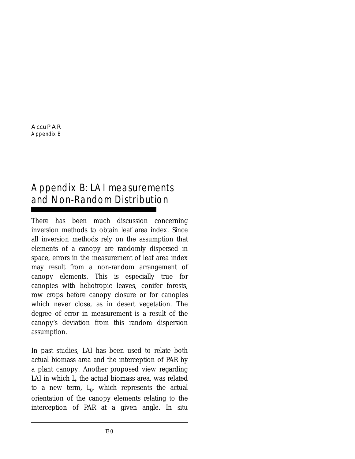# Appendix B: LAI measurements and Non-Random Distribution

There has been much discussion concerning inversion methods to obtain leaf area index. Since all inversion methods rely on the assumption that elements of a canopy are randomly dispersed in space, errors in the measurement of leaf area index may result from a non-random arrangement of canopy elements. This is especially true for canopies with heliotropic leaves, conifer forests, row crops before canopy closure or for canopies which never close, as in desert vegetation. The degree of error in measurement is a result of the canopy's deviation from this random dispersion assumption.

In past studies, LAI has been used to relate both actual biomass area and the interception of PAR by a plant canopy. Another proposed view regarding LAI in which *L*, the actual biomass area, was related to a new term, *Le*, which represents the actual orientation of the canopy elements relating to the interception of PAR at a given angle. In situ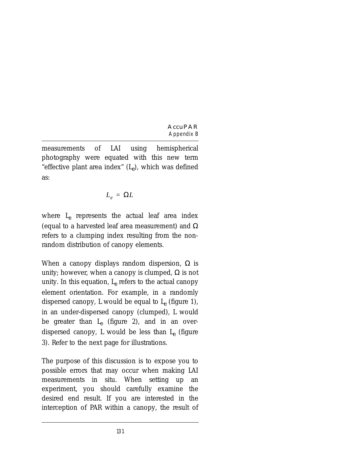measurements of LAI using hemispherical photography were equated with this new term "effective plant area index"  $(L_{\rho})$ , which was defined as:

$$
L_e = \Omega L
$$

where *Le* represents the actual leaf area index (equal to a harvested leaf area measurement) and  $\Omega$ refers to a clumping index resulting from the nonrandom distribution of canopy elements.

When a canopy displays random dispersion,  $\Omega$  is unity; however, when a canopy is clumped,  $\Omega$  is not unity. In this equation,  $L_{\rho}$  refers to the actual canopy element orientation. For example, in a randomly dispersed canopy,  $L$  would be equal to  $L_{\rho}$  (figure 1), in an under-dispersed canopy (clumped), *L* would be greater than *Le* (figure 2), and in an overdispersed canopy, *L* would be less than *Le* (figure 3). Refer to the next page for illustrations.

The purpose of this discussion is to expose you to possible errors that may occur when making LAI measurements in situ. When setting up an experiment, you should carefully examine the desired end result. If you are interested in the interception of PAR within a canopy, the result of

131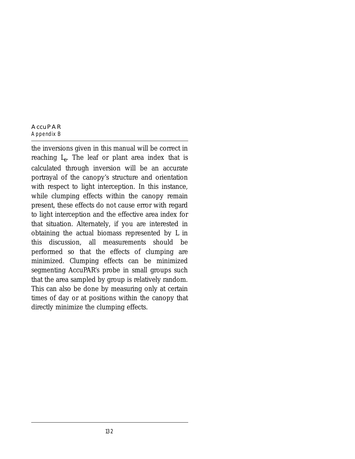#### **AccuPAR** *Appendix B*

the inversions given in this manual will be correct in reaching *Le*. The leaf or plant area index that is calculated through inversion will be an accurate portrayal of the canopy's structure and orientation with respect to light interception. In this instance, while clumping effects within the canopy remain present, these effects do not cause error with regard to light interception and the effective area index for that situation. Alternately, if you are interested in obtaining the actual biomass represented by *L* in this discussion, all measurements should be performed so that the effects of clumping are minimized. Clumping effects can be minimized segmenting AccuPAR's probe in small groups such that the area sampled by group is relatively random. This can also be done by measuring only at certain times of day or at positions within the canopy that directly minimize the clumping effects.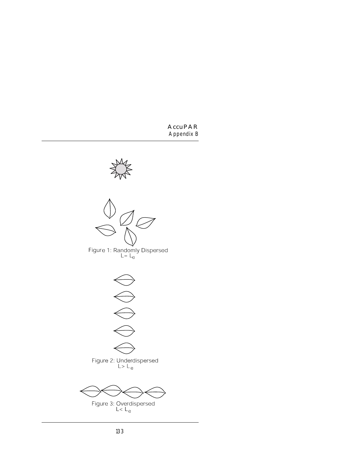



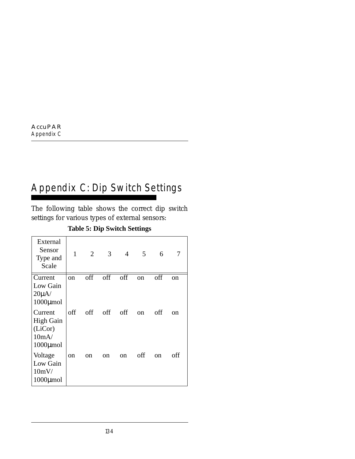# Appendix C: Dip Switch Settings

The following table shows the correct dip switch settings for various types of external sensors:

| External<br>Sensor<br>Type and<br>Scale                           | 1             | 2                       | 3   | $\overline{4}$ | 5             | 6             | 7   |
|-------------------------------------------------------------------|---------------|-------------------------|-----|----------------|---------------|---------------|-----|
| Current<br>Low Gain<br>$20\mu$ A/<br>$1000 \mu$ mol               | <sub>on</sub> | $\overline{\text{off}}$ | off | off            | <sub>on</sub> | off           | on  |
| Current<br><b>High Gain</b><br>(LiCor)<br>10mA/<br>$1000 \mu$ mol | off           | off                     | off | off            | <sub>on</sub> | off           | on  |
| Voltage<br>Low Gain<br>10mV/<br>$1000 \mu$ mol                    | on            | on                      | on  | <sub>on</sub>  | off           | <sub>on</sub> | off |

### **Table 5: Dip Switch Settings**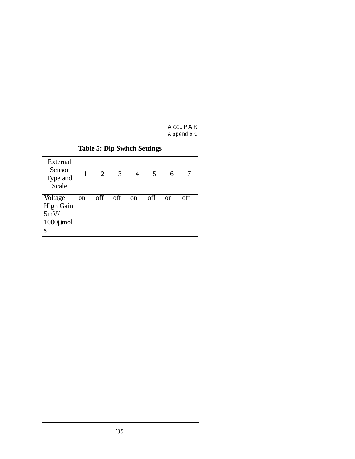| External<br>Sensor<br>Type and<br>Scale             |               | 2   | 3   | 4  | $\mathcal{L}$ | 6             |     |
|-----------------------------------------------------|---------------|-----|-----|----|---------------|---------------|-----|
| Voltage<br>High Gain<br>5mV/<br>$1000 \mu$ mol<br>S | <sub>on</sub> | off | off | on | off           | <sub>on</sub> | off |

### **Table 5: Dip Switch Settings**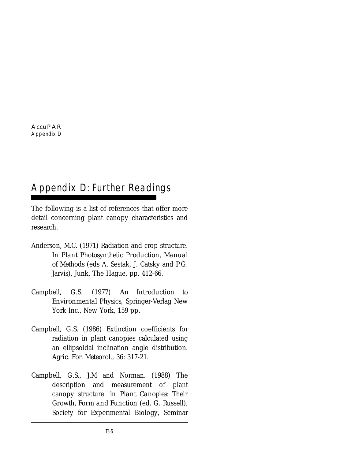# Appendix D: Further Readings

The following is a list of references that offer more detail concerning plant canopy characteristics and research.

- Anderson, M.C. (1971) Radiation and crop structure. In *Plant Photosynthetic Production, Manual of Methods* (eds A. Sestak, J. Catsky and P.G. Jarvis), Junk, The Hague, pp. 412-66.
- Campbell, G.S. (1977) *An Introduction to Environmental Physics*, Springer-Verlag New York Inc., New York, 159 pp.
- Campbell, G.S. (1986) Extinction coefficients for radiation in plant canopies calculated using an ellipsoidal inclination angle distribution. *Agric. For. Meteorol*., 36: 317-21.
- Campbell, G.S., J.M and Norman. (1988) The description and measurement of plant canopy structure. in *Plant Canopies: Their Growth, Form and Function* (ed. G. Russell), Society for Experimental Biology, Seminar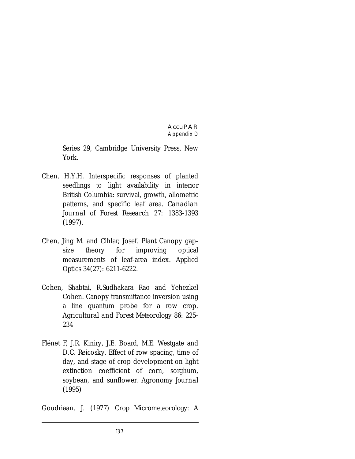Series 29, Cambridge University Press, New York.

- Chen, H.Y.H. Interspecific responses of planted seedlings to light availability in interior British Columbia: survival, growth, allometric patterns, and specific leaf area. *Canadian Journal of Forest Research* 27: 1383-1393 (1997).
- Chen, Jing M. and Cihlar, Josef. Plant Canopy gapsize theory for improving optical measurements of leaf-area index. *Applied Optics* 34(27): 6211-6222.
- Cohen, Shabtai, R.Sudhakara Rao and Yehezkel Cohen. Canopy transmittance inversion using a line quantum probe for a row crop. *Agricultural and Forest Meteorology* 86: 225- 234
- Flénet F, J.R. Kiniry, J.E. Board, M.E. Westgate and D.C. Reicosky. Effect of row spacing, time of day, and stage of crop development on light extinction coefficient of corn, sorghum, soybean, and sunflower. *Agronomy Journal* (1995)

Goudriaan, J. (1977) *Crop Micrometeorology: A*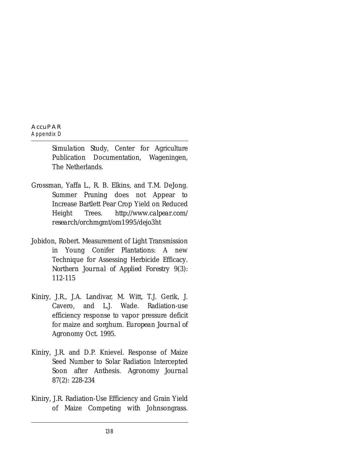*Simulation Study*, Center for Agriculture Publication Documentation, Wageningen, The Netherlands.

- Grossman, Yaffa L., R. B. Elkins, and T.M. DeJong. Summer Pruning does not Appear to Increase Bartlett Pear Crop Yield on Reduced Height Trees. *http://www.calpear.com/ research/orchmgmt/om1995/dejo3ht*
- Jobidon, Robert. Measurement of Light Transmission in Young Conifer Plantations: A new Technique for Assessing Herbicide Efficacy. *Northern Journal of Applied Forestry* 9(3): 112-115
- Kiniry, J.R., J.A. Landivar, M. Witt, T.J. Gerik, J. Cavero, and L.J. Wade. Radiation-use efficiency response to vapor pressure deficit for maize and sorghum. *European Journal of Agronomy* Oct. 1995.
- Kiniry, J.R. and D.P. Knievel. Response of Maize Seed Number to Solar Radiation Intercepted Soon after Anthesis. *Agronomy Journal* 87(2): 228-234
- Kiniry, J.R. Radiation-Use Efficiency and Grain Yield of Maize Competing with Johnsongrass.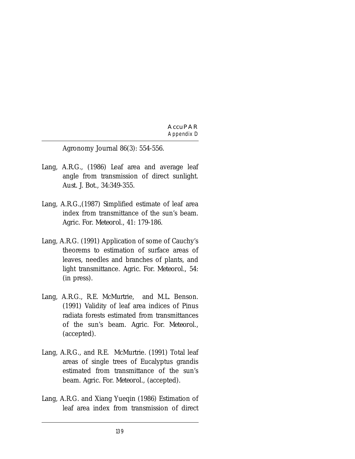Agronomy Journal 86(3): 554-556.

- Lang, A.R.G., (1986) Leaf area and average leaf angle from transmission of direct sunlight. *Aust. J. Bot*., 34:349-355.
- Lang, A.R.G.,(1987) Simplified estimate of leaf area index from transmittance of the sun's beam. *Agric. For. Meteorol.*, 41: 179-186.
- Lang, A.R.G. (1991) Application of some of Cauchy's theorems to estimation of surface areas of leaves, needles and branches of plants, and light transmittance. *Agric. For. Meteorol*., 54: (in press).
- Lang, A.R.G., R.E. McMurtrie, and M.L. Benson. (1991) Validity of leaf area indices of Pinus radiata forests estimated from transmittances of the sun's beam. *Agric. For. Meteorol.*, (accepted).
- Lang, A.R.G., and R.E. McMurtrie. (1991) Total leaf areas of single trees of Eucalyptus grandis estimated from transmittance of the sun's beam. *Agric. For. Meteorol.*, (accepted).
- Lang, A.R.G. and Xiang Yueqin (1986) Estimation of leaf area index from transmission of direct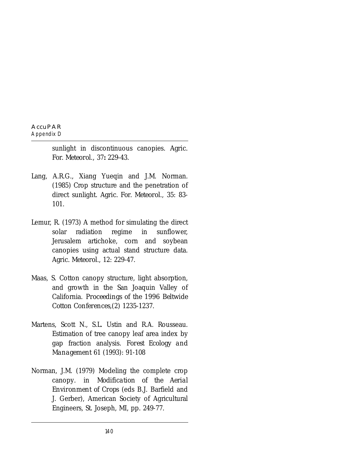sunlight in discontinuous canopies. *Agric. For. Meteorol.,* 37**:** 229-43.

- Lang, A.R.G., Xiang Yueqin and J.M. Norman. (1985) Crop structure and the penetration of direct sunlight. *Agric. For. Meteorol*., 35: 83- 101.
- Lemur, R. (1973) A method for simulating the direct solar radiation regime in sunflower, Jerusalem artichoke, corn and soybean canopies using actual stand structure data. *Agric. Meteorol*., 12: 229-47.
- Maas, S. Cotton canopy structure, light absorption, and growth in the San Joaquin Valley of California. *Proceedings of the 1996 Beltwide Cotton Conferences*,(2) 1235-1237.
- Martens, Scott N., S.L. Ustin and R.A. Rousseau. Estimation of tree canopy leaf area index by gap fraction analysis. *Forest Ecology and Management* 61 (1993): 91-108
- Norman, J.M. (1979) Modeling the complete crop canopy. in *Modification of the Aerial Environment of Crops* (eds B.J. Barfield and J. Gerber), American Society of Agricultural Engineers, St. Joseph, MI, pp. 249-77.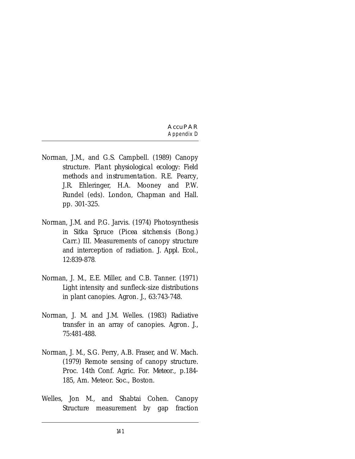- Norman, J.M., and G.S. Campbell. (1989) Canopy structure. *Plant physiological ecology: Field methods and instrumentation*. R.E. Pearcy, J.R. Ehleringer, H.A. Mooney and P.W. Rundel (eds). London, Chapman and Hall. pp. 301-325.
- Norman, J.M. and P.G. Jarvis. (1974) Photosynthesis in Sitka Spruce (*Picea sitchensis* (Bong.) *Carr*.) III. Measurements of canopy structure and interception of radiation. *J. Appl. Ecol*., 12:839-878.
- Norman, J. M., E.E. Miller, and C.B. Tanner. (1971) Light intensity and sunfleck-size distributions in plant canopies. *Agron. J.*, 63:743-748.
- Norman, J. M. and J.M. Welles. (1983) Radiative transfer in an array of canopies. *Agron. J.*, 75:481-488.
- Norman, J. M., S.G. Perry, A.B. Fraser, and W. Mach. (1979) Remote sensing of canopy structure. *Proc. 14th Conf. Agric. For. Meteor*., p.184- 185, Am. Meteor. Soc., Boston.
- Welles, Jon M., and Shabtai Cohen. Canopy Structure measurement by gap fraction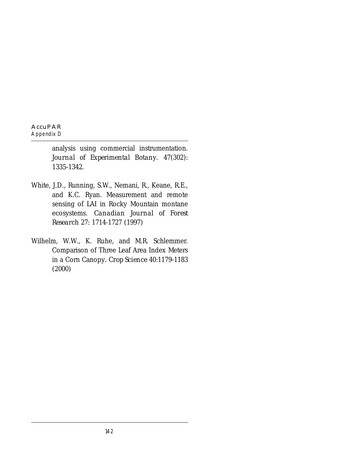analysis using commercial instrumentation. *Journal of Experimental Botany.* 47(302): 1335-1342.

- White, J.D., Running, S.W., Nemani, R., Keane, R.E., and K.C. Ryan. Measurement and remote sensing of LAI in Rocky Mountain montane ecosystems. *Canadian Journal of Forest Research* 27: 1714-1727 (1997)
- Wilhelm, W.W., K. Ruhe, and M.R. Schlemmer. Comparison of Three Leaf Area Index Meters in a Corn Canopy. *Crop Science* 40:1179-1183 (2000)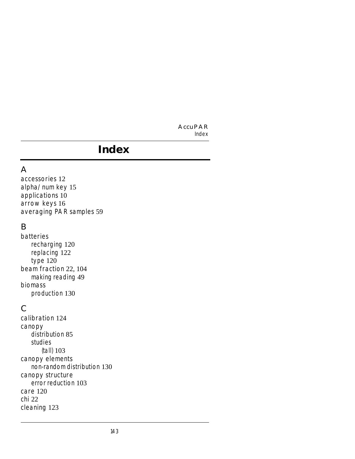#### **AccuPAR** *Index*

### A

accessories 12 alpha/num key 15 applications 10 arrow keys 16 averaging PAR samples 59

### B

batteries recharging 120 replacing 122 type 120 beam fraction 22, 104 making reading 49 biomass production 130

### $\mathcal{C}$

calibration 124 canopy distribution 85 studies (tall) 103 canopy elements non-random distribution 130 canopy structure error reduction 103 care 120 chi 22 cleaning 123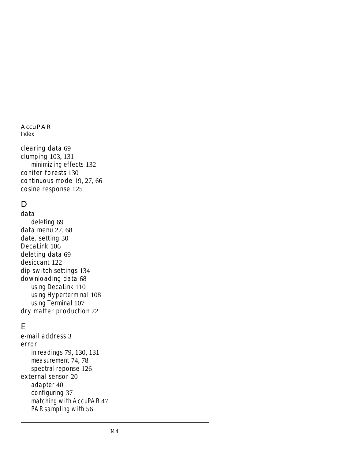#### **AccuPAR**

*Index*

clearing data 69 clumping 103, 131 minimizing effects 132 conifer forests 130 continuous mode 19, 27, 66 cosine response 125

# D

data deleting 69 data menu 27, 68 date, setting 30 DecaLink 106 deleting data 69 desiccant 122 dip switch settings 134 downloading data 68 using DecaLink 110 using Hyperterminal 108 using Terminal 107 dry matter production 72

### E

e-mail address 3 error in readings 79, 130, 131 measurement 74, 78 spectral reponse 126 external sensor 20 adapter 40 configuring 37 matching with AccuPAR 47 PAR sampling with 56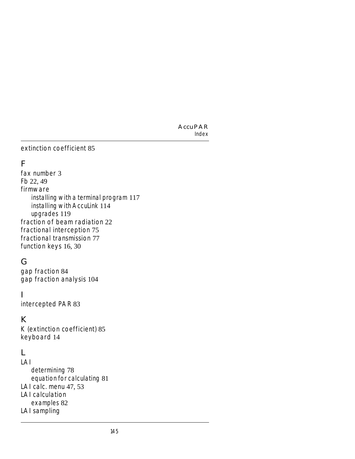#### extinction coefficient 85

### F

fax number 3 Fb 22, 49 firmware installing with a terminal program 117 installing with AccuLink 114 upgrades 119 fraction of beam radiation 22 fractional interception 75 fractional transmission 77 function keys 16, 30

### G

gap fraction 84 gap fraction analysis 104

#### I

intercepted PAR 83

### K

K (extinction coefficient) 85 keyboard 14

### L

LAI determining 78 equation for calculating 81 LAI calc. menu 47, 53 LAI calculation examples 82 LAI sampling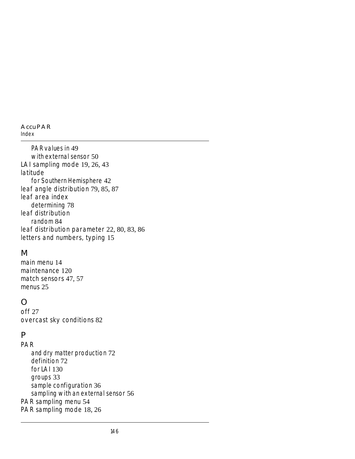#### **AccuPAR**

*Index*

PAR values in 49 with external sensor 50 LAI sampling mode 19, 26, 43 latitude for Southern Hemisphere 42 leaf angle distribution 79, 85, 87 leaf area index determining 78 leaf distribution random 84 leaf distribution parameter 22, 80, 83, 86 letters and numbers, typing 15

### M

main menu 14 maintenance 120 match sensors 47, 57 menus 25

# $\bigcap$

off 27 overcast sky conditions 82

### P

PAR and dry matter production 72 definition 72 for  $|$  Al  $130$ groups 33 sample configuration 36 sampling with an external sensor 56 PAR sampling menu 54 PAR sampling mode 18, 26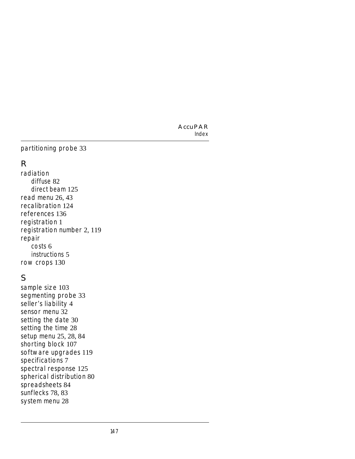### partitioning probe 33

### R

radiation diffuse 82 direct beam 125 read menu 26, 43 recalibration 124 references 136 registration 1 registration number 2, 119 repair costs 6 instructions 5 row crops 130

# S

sample size 103 segmenting probe 33 seller's liability 4 sensor menu 32 setting the date 30 setting the time 28 setup menu 25, 28, 84 shorting block 107 software upgrades 119 specifications 7 spectral response 125 spherical distribution 80 spreadsheets 84 sunflecks 78, 83 system menu 28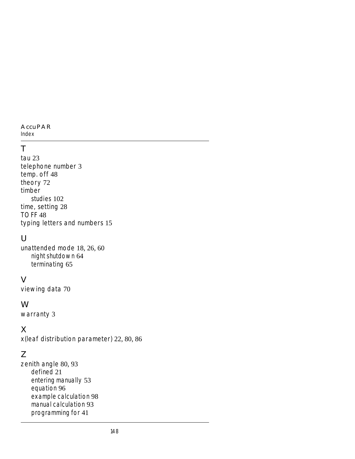#### **AccuPAR**

*Index*

# T

tau 23 telephone number 3 temp. off 48 theory 72 timber studies 102 time, setting 28 TOFF 48 typing letters and numbers 15

### $\cup$

unattended mode 18, 26, 60 night shutdown 64 terminating 65

### $\vee$

viewing data 70

### W

warranty 3

### X

x(leaf distribution parameter) 22, 80, 86

# Z

zenith angle 80, 93 defined 21 entering manually 53 equation 96 example calculation 98 manual calculation 93 programming for 41